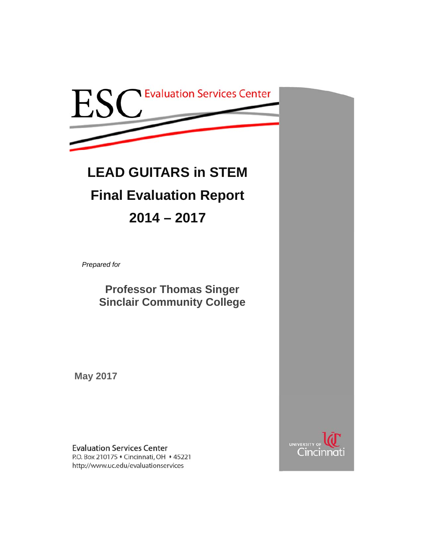

# **LEAD GUITARS in STEM Final Evaluation Report 2014 – 2017**

*Prepared for* 

**Professor Thomas Singer Sinclair Community College** 

**May 2017** 

**Evaluation Services Center** P.O. Box 210175 • Cincinnati, OH • 45221 http://www.uc.edu/evaluationservices

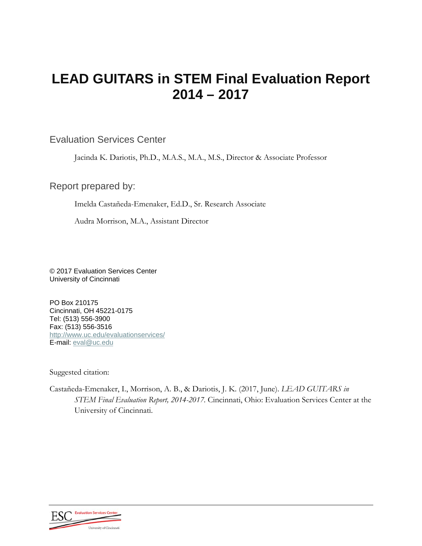## **LEAD GUITARS in STEM Final Evaluation Report 2014 – 2017**

#### Evaluation Services Center

Jacinda K. Dariotis, Ph.D., M.A.S., M.A., M.S., Director & Associate Professor

Report prepared by:

Imelda Castañeda-Emenaker, Ed.D., Sr. Research Associate

Audra Morrison, M.A., Assistant Director

© 2017 Evaluation Services Center University of Cincinnati

PO Box 210175 Cincinnati, OH 45221-0175 Tel: (513) 556-3900 Fax: (513) 556-3516 http://www.uc.edu/evaluationservices/ E-mail: eval@uc.edu

Suggested citation:

Castañeda-Emenaker, I., Morrison, A. B., & Dariotis, J. K. (2017, June). *LEAD GUITARS in STEM Final Evaluation Report, 2014-2017.* Cincinnati, Ohio: Evaluation Services Center at the University of Cincinnati.

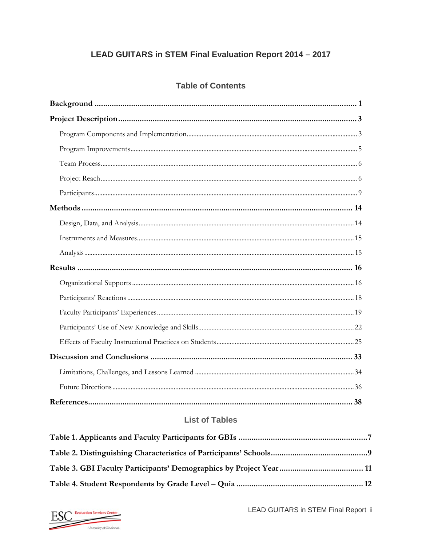#### LEAD GUITARS in STEM Final Evaluation Report 2014 - 2017

#### **Table of Contents**

#### **List of Tables**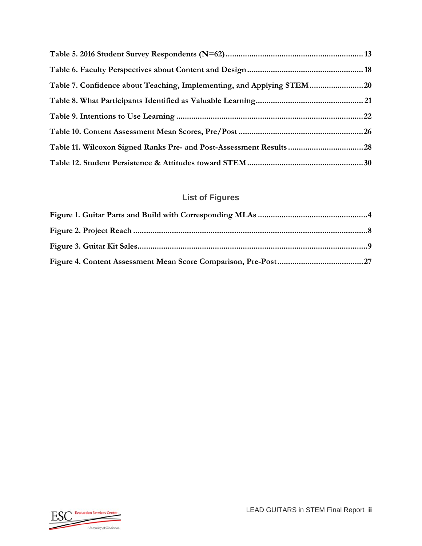| Table 7. Confidence about Teaching, Implementing, and Applying STEM20 |  |
|-----------------------------------------------------------------------|--|
|                                                                       |  |
|                                                                       |  |
|                                                                       |  |
|                                                                       |  |
|                                                                       |  |

## **List of Figures**

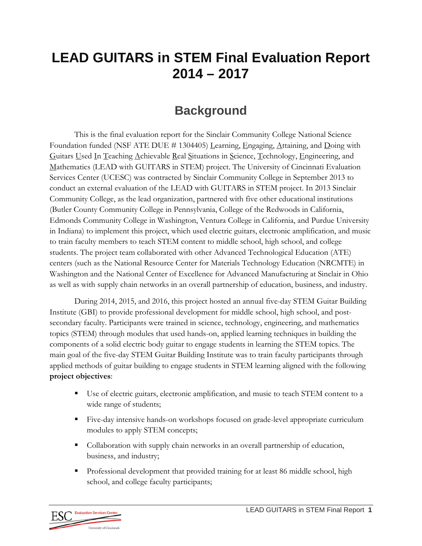## **LEAD GUITARS in STEM Final Evaluation Report 2014 – 2017**

## **Background**

This is the final evaluation report for the Sinclair Community College National Science Foundation funded (NSF ATE DUE  $\#$  1304405) Learning, Engaging, Attaining, and Doing with Guitars Used In Teaching Achievable Real Situations in Science, Technology, Engineering, and Mathematics (LEAD with GUITARS in STEM) project. The University of Cincinnati Evaluation Services Center (UCESC) was contracted by Sinclair Community College in September 2013 to conduct an external evaluation of the LEAD with GUITARS in STEM project. In 2013 Sinclair Community College, as the lead organization, partnered with five other educational institutions (Butler County Community College in Pennsylvania, College of the Redwoods in California, Edmonds Community College in Washington, Ventura College in California, and Purdue University in Indiana) to implement this project, which used electric guitars, electronic amplification, and music to train faculty members to teach STEM content to middle school, high school, and college students. The project team collaborated with other Advanced Technological Education (ATE) centers (such as the National Resource Center for Materials Technology Education (NRCMTE) in Washington and the National Center of Excellence for Advanced Manufacturing at Sinclair in Ohio as well as with supply chain networks in an overall partnership of education, business, and industry.

During 2014, 2015, and 2016, this project hosted an annual five-day STEM Guitar Building Institute (GBI) to provide professional development for middle school, high school, and postsecondary faculty. Participants were trained in science, technology, engineering, and mathematics topics (STEM) through modules that used hands-on, applied learning techniques in building the components of a solid electric body guitar to engage students in learning the STEM topics. The main goal of the five-day STEM Guitar Building Institute was to train faculty participants through applied methods of guitar building to engage students in STEM learning aligned with the following **project objectives**:

- Use of electric guitars, electronic amplification, and music to teach STEM content to a wide range of students;
- Five-day intensive hands-on workshops focused on grade-level appropriate curriculum modules to apply STEM concepts;
- Collaboration with supply chain networks in an overall partnership of education, business, and industry;
- **Professional development that provided training for at least 86 middle school, high** school, and college faculty participants;

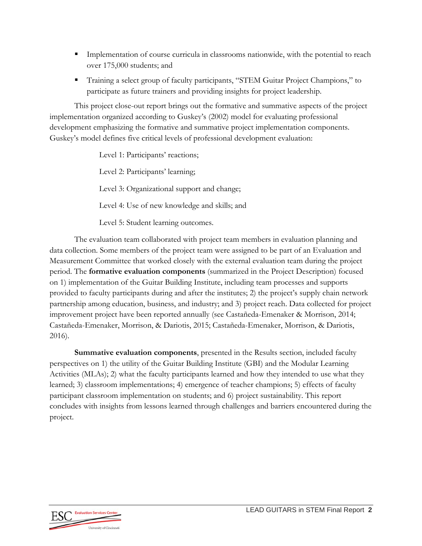- **Implementation of course curricula in classrooms nationwide, with the potential to reach** over 175,000 students; and
- Training a select group of faculty participants, "STEM Guitar Project Champions," to participate as future trainers and providing insights for project leadership.

This project close-out report brings out the formative and summative aspects of the project implementation organized according to Guskey's (2002) model for evaluating professional development emphasizing the formative and summative project implementation components. Guskey's model defines five critical levels of professional development evaluation:

> Level 1: Participants' reactions; Level 2: Participants' learning; Level 3: Organizational support and change; Level 4: Use of new knowledge and skills; and Level 5: Student learning outcomes.

The evaluation team collaborated with project team members in evaluation planning and data collection. Some members of the project team were assigned to be part of an Evaluation and Measurement Committee that worked closely with the external evaluation team during the project period. The **formative evaluation components** (summarized in the Project Description) focused on 1) implementation of the Guitar Building Institute, including team processes and supports provided to faculty participants during and after the institutes; 2) the project's supply chain network partnership among education, business, and industry; and 3) project reach. Data collected for project improvement project have been reported annually (see Castañeda-Emenaker & Morrison, 2014; Castañeda-Emenaker, Morrison, & Dariotis, 2015; Castañeda-Emenaker, Morrison, & Dariotis, 2016).

**Summative evaluation components**, presented in the Results section, included faculty perspectives on 1) the utility of the Guitar Building Institute (GBI) and the Modular Learning Activities (MLAs); 2) what the faculty participants learned and how they intended to use what they learned; 3) classroom implementations; 4) emergence of teacher champions; 5) effects of faculty participant classroom implementation on students; and 6) project sustainability. This report concludes with insights from lessons learned through challenges and barriers encountered during the project.

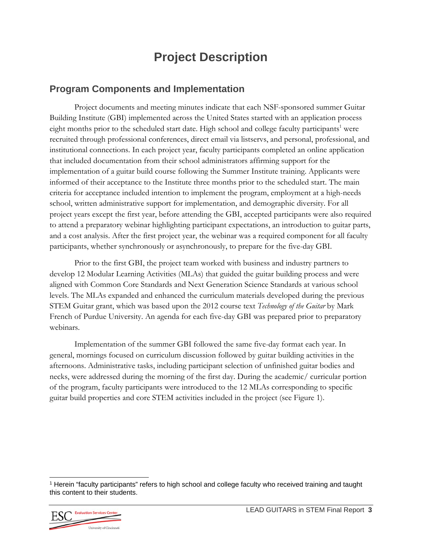## **Project Description**

#### **Program Components and Implementation**

Project documents and meeting minutes indicate that each NSF-sponsored summer Guitar Building Institute (GBI) implemented across the United States started with an application process eight months prior to the scheduled start date. High school and college faculty participants<sup>1</sup> were recruited through professional conferences, direct email via listservs, and personal, professional, and institutional connections. In each project year, faculty participants completed an online application that included documentation from their school administrators affirming support for the implementation of a guitar build course following the Summer Institute training. Applicants were informed of their acceptance to the Institute three months prior to the scheduled start. The main criteria for acceptance included intention to implement the program, employment at a high-needs school, written administrative support for implementation, and demographic diversity. For all project years except the first year, before attending the GBI, accepted participants were also required to attend a preparatory webinar highlighting participant expectations, an introduction to guitar parts, and a cost analysis. After the first project year, the webinar was a required component for all faculty participants, whether synchronously or asynchronously, to prepare for the five-day GBI.

Prior to the first GBI, the project team worked with business and industry partners to develop 12 Modular Learning Activities (MLAs) that guided the guitar building process and were aligned with Common Core Standards and Next Generation Science Standards at various school levels. The MLAs expanded and enhanced the curriculum materials developed during the previous STEM Guitar grant, which was based upon the 2012 course text *Technology of the Guitar* by Mark French of Purdue University. An agenda for each five-day GBI was prepared prior to preparatory webinars.

Implementation of the summer GBI followed the same five-day format each year. In general, mornings focused on curriculum discussion followed by guitar building activities in the afternoons. Administrative tasks, including participant selection of unfinished guitar bodies and necks, were addressed during the morning of the first day. During the academic/ curricular portion of the program, faculty participants were introduced to the 12 MLAs corresponding to specific guitar build properties and core STEM activities included in the project (see Figure 1).

<sup>1</sup> Herein "faculty participants" refers to high school and college faculty who received training and taught this content to their students.



l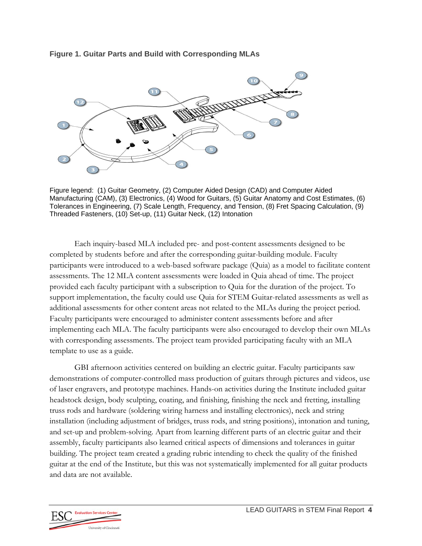#### **Figure 1. Guitar Parts and Build with Corresponding MLAs**



Figure legend: (1) Guitar Geometry, (2) Computer Aided Design (CAD) and Computer Aided Manufacturing (CAM), (3) Electronics, (4) Wood for Guitars, (5) Guitar Anatomy and Cost Estimates, (6) Tolerances in Engineering, (7) Scale Length, Frequency, and Tension, (8) Fret Spacing Calculation, (9) Threaded Fasteners, (10) Set-up, (11) Guitar Neck, (12) Intonation

Each inquiry-based MLA included pre- and post-content assessments designed to be completed by students before and after the corresponding guitar-building module. Faculty participants were introduced to a web-based software package (Quia) as a model to facilitate content assessments. The 12 MLA content assessments were loaded in Quia ahead of time. The project provided each faculty participant with a subscription to Quia for the duration of the project. To support implementation, the faculty could use Quia for STEM Guitar-related assessments as well as additional assessments for other content areas not related to the MLAs during the project period. Faculty participants were encouraged to administer content assessments before and after implementing each MLA. The faculty participants were also encouraged to develop their own MLAs with corresponding assessments. The project team provided participating faculty with an MLA template to use as a guide.

GBI afternoon activities centered on building an electric guitar. Faculty participants saw demonstrations of computer-controlled mass production of guitars through pictures and videos, use of laser engravers, and prototype machines. Hands-on activities during the Institute included guitar headstock design, body sculpting, coating, and finishing, finishing the neck and fretting, installing truss rods and hardware (soldering wiring harness and installing electronics), neck and string installation (including adjustment of bridges, truss rods, and string positions), intonation and tuning, and set-up and problem-solving. Apart from learning different parts of an electric guitar and their assembly, faculty participants also learned critical aspects of dimensions and tolerances in guitar building. The project team created a grading rubric intending to check the quality of the finished guitar at the end of the Institute, but this was not systematically implemented for all guitar products and data are not available.

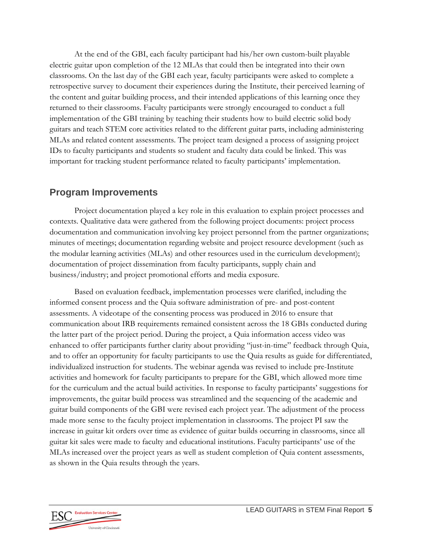At the end of the GBI, each faculty participant had his/her own custom-built playable electric guitar upon completion of the 12 MLAs that could then be integrated into their own classrooms. On the last day of the GBI each year, faculty participants were asked to complete a retrospective survey to document their experiences during the Institute, their perceived learning of the content and guitar building process, and their intended applications of this learning once they returned to their classrooms. Faculty participants were strongly encouraged to conduct a full implementation of the GBI training by teaching their students how to build electric solid body guitars and teach STEM core activities related to the different guitar parts, including administering MLAs and related content assessments. The project team designed a process of assigning project IDs to faculty participants and students so student and faculty data could be linked. This was important for tracking student performance related to faculty participants' implementation.

#### **Program Improvements**

Project documentation played a key role in this evaluation to explain project processes and contexts. Qualitative data were gathered from the following project documents: project process documentation and communication involving key project personnel from the partner organizations; minutes of meetings; documentation regarding website and project resource development (such as the modular learning activities (MLAs) and other resources used in the curriculum development); documentation of project dissemination from faculty participants, supply chain and business/industry; and project promotional efforts and media exposure.

Based on evaluation feedback, implementation processes were clarified, including the informed consent process and the Quia software administration of pre- and post-content assessments. A videotape of the consenting process was produced in 2016 to ensure that communication about IRB requirements remained consistent across the 18 GBIs conducted during the latter part of the project period. During the project, a Quia information access video was enhanced to offer participants further clarity about providing "just-in-time" feedback through Quia, and to offer an opportunity for faculty participants to use the Quia results as guide for differentiated, individualized instruction for students. The webinar agenda was revised to include pre-Institute activities and homework for faculty participants to prepare for the GBI, which allowed more time for the curriculum and the actual build activities. In response to faculty participants' suggestions for improvements, the guitar build process was streamlined and the sequencing of the academic and guitar build components of the GBI were revised each project year. The adjustment of the process made more sense to the faculty project implementation in classrooms. The project PI saw the increase in guitar kit orders over time as evidence of guitar builds occurring in classrooms, since all guitar kit sales were made to faculty and educational institutions. Faculty participants' use of the MLAs increased over the project years as well as student completion of Quia content assessments, as shown in the Quia results through the years.

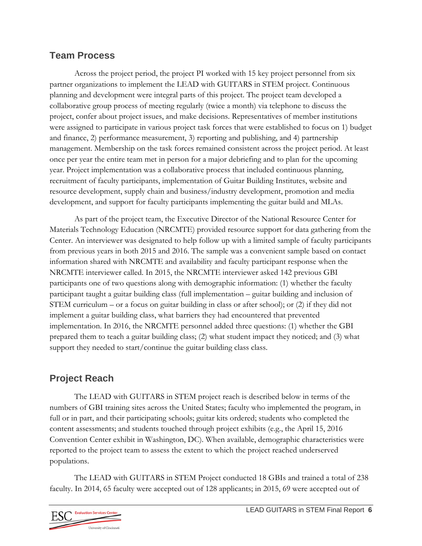#### **Team Process**

Across the project period, the project PI worked with 15 key project personnel from six partner organizations to implement the LEAD with GUITARS in STEM project. Continuous planning and development were integral parts of this project. The project team developed a collaborative group process of meeting regularly (twice a month) via telephone to discuss the project, confer about project issues, and make decisions. Representatives of member institutions were assigned to participate in various project task forces that were established to focus on 1) budget and finance, 2) performance measurement, 3) reporting and publishing, and 4) partnership management. Membership on the task forces remained consistent across the project period. At least once per year the entire team met in person for a major debriefing and to plan for the upcoming year. Project implementation was a collaborative process that included continuous planning, recruitment of faculty participants, implementation of Guitar Building Institutes, website and resource development, supply chain and business/industry development, promotion and media development, and support for faculty participants implementing the guitar build and MLAs.

As part of the project team, the Executive Director of the National Resource Center for Materials Technology Education (NRCMTE) provided resource support for data gathering from the Center. An interviewer was designated to help follow up with a limited sample of faculty participants from previous years in both 2015 and 2016. The sample was a convenient sample based on contact information shared with NRCMTE and availability and faculty participant response when the NRCMTE interviewer called. In 2015, the NRCMTE interviewer asked 142 previous GBI participants one of two questions along with demographic information: (1) whether the faculty participant taught a guitar building class (full implementation – guitar building and inclusion of STEM curriculum – or a focus on guitar building in class or after school); or (2) if they did not implement a guitar building class, what barriers they had encountered that prevented implementation. In 2016, the NRCMTE personnel added three questions: (1) whether the GBI prepared them to teach a guitar building class; (2) what student impact they noticed; and (3) what support they needed to start/continue the guitar building class class.

## **Project Reach**

The LEAD with GUITARS in STEM project reach is described below in terms of the numbers of GBI training sites across the United States; faculty who implemented the program, in full or in part, and their participating schools; guitar kits ordered; students who completed the content assessments; and students touched through project exhibits (e.g., the April 15, 2016 Convention Center exhibit in Washington, DC). When available, demographic characteristics were reported to the project team to assess the extent to which the project reached underserved populations.

The LEAD with GUITARS in STEM Project conducted 18 GBIs and trained a total of 238 faculty. In 2014, 65 faculty were accepted out of 128 applicants; in 2015, 69 were accepted out of

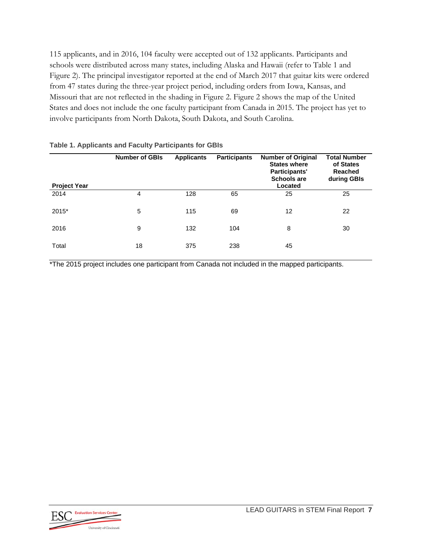115 applicants, and in 2016, 104 faculty were accepted out of 132 applicants. Participants and schools were distributed across many states, including Alaska and Hawaii (refer to Table 1 and Figure 2). The principal investigator reported at the end of March 2017 that guitar kits were ordered from 47 states during the three-year project period, including orders from Iowa, Kansas, and Missouri that are not reflected in the shading in Figure 2. Figure 2 shows the map of the United States and does not include the one faculty participant from Canada in 2015. The project has yet to involve participants from North Dakota, South Dakota, and South Carolina.

| <b>Project Year</b> | <b>Number of GBIs</b> | <b>Applicants</b> | <b>Participants</b> | <b>Number of Original</b><br><b>States where</b><br>Participants'<br><b>Schools are</b><br>Located | <b>Total Number</b><br>of States<br>Reached<br>during GBIs |
|---------------------|-----------------------|-------------------|---------------------|----------------------------------------------------------------------------------------------------|------------------------------------------------------------|
| 2014                | 4                     | 128               | 65                  | 25                                                                                                 | 25                                                         |
| $2015*$             | 5                     | 115               | 69                  | 12                                                                                                 | 22                                                         |
| 2016                | 9                     | 132               | 104                 | 8                                                                                                  | 30                                                         |
| Total               | 18                    | 375               | 238                 | 45                                                                                                 |                                                            |

#### **Table 1. Applicants and Faculty Participants for GBIs**

\*The 2015 project includes one participant from Canada not included in the mapped participants.

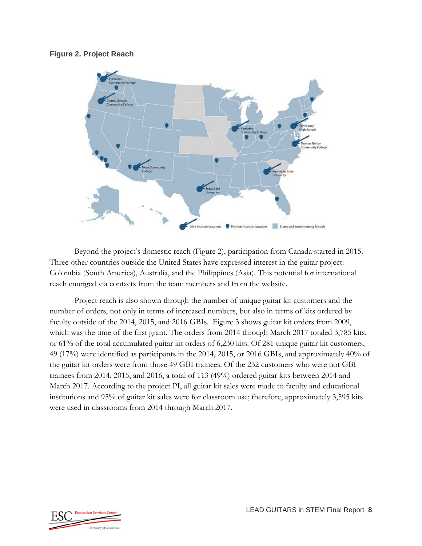#### **Figure 2. Project Reach**



Beyond the project's domestic reach (Figure 2), participation from Canada started in 2015. Three other countries outside the United States have expressed interest in the guitar project: Colombia (South America), Australia, and the Philippines (Asia). This potential for international reach emerged via contacts from the team members and from the website.

Project reach is also shown through the number of unique guitar kit customers and the number of orders, not only in terms of increased numbers, but also in terms of kits ordered by faculty outside of the 2014, 2015, and 2016 GBIs. Figure 3 shows guitar kit orders from 2009, which was the time of the first grant. The orders from 2014 through March 2017 totaled 3,785 kits, or 61% of the total accumulated guitar kit orders of 6,230 kits. Of 281 unique guitar kit customers, 49 (17%) were identified as participants in the 2014, 2015, or 2016 GBIs, and approximately 40% of the guitar kit orders were from those 49 GBI trainees. Of the 232 customers who were not GBI trainees from 2014, 2015, and 2016, a total of 113 (49%) ordered guitar kits between 2014 and March 2017. According to the project PI, all guitar kit sales were made to faculty and educational institutions and 95% of guitar kit sales were for classroom use; therefore, approximately 3,595 kits were used in classrooms from 2014 through March 2017.

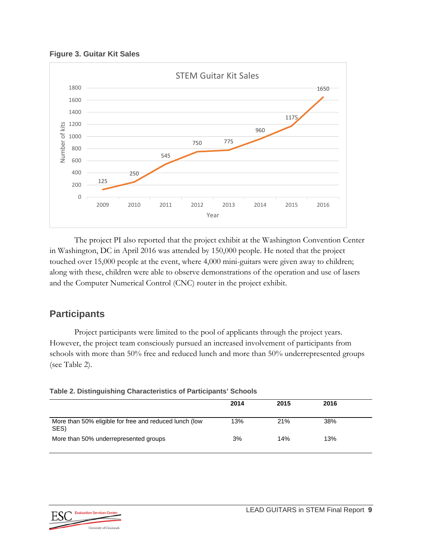**Figure 3. Guitar Kit Sales** 



The project PI also reported that the project exhibit at the Washington Convention Center in Washington, DC in April 2016 was attended by 150,000 people. He noted that the project touched over 15,000 people at the event, where 4,000 mini-guitars were given away to children; along with these, children were able to observe demonstrations of the operation and use of lasers and the Computer Numerical Control (CNC) router in the project exhibit.

### **Participants**

Project participants were limited to the pool of applicants through the project years. However, the project team consciously pursued an increased involvement of participants from schools with more than 50% free and reduced lunch and more than 50% underrepresented groups (see Table 2).

|  | Table 2. Distinguishing Characteristics of Participants' Schools |  |
|--|------------------------------------------------------------------|--|
|  |                                                                  |  |

|                                                                | 2014 | 2015 | 2016 |  |
|----------------------------------------------------------------|------|------|------|--|
| More than 50% eligible for free and reduced lunch (low<br>SES) | 13%  | 21%  | 38%  |  |
| More than 50% underrepresented groups                          | 3%   | 14%  | 13%  |  |

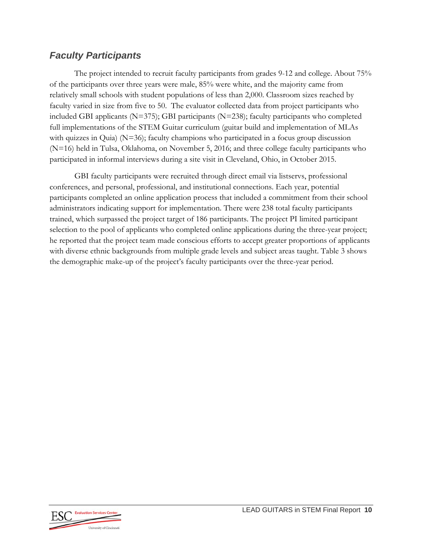#### *Faculty Participants*

The project intended to recruit faculty participants from grades 9-12 and college. About 75% of the participants over three years were male, 85% were white, and the majority came from relatively small schools with student populations of less than 2,000. Classroom sizes reached by faculty varied in size from five to 50. The evaluator collected data from project participants who included GBI applicants  $(N=375)$ ; GBI participants  $(N=238)$ ; faculty participants who completed full implementations of the STEM Guitar curriculum (guitar build and implementation of MLAs with quizzes in Quia) (N=36); faculty champions who participated in a focus group discussion (N=16) held in Tulsa, Oklahoma, on November 5, 2016; and three college faculty participants who participated in informal interviews during a site visit in Cleveland, Ohio, in October 2015.

GBI faculty participants were recruited through direct email via listservs, professional conferences, and personal, professional, and institutional connections. Each year, potential participants completed an online application process that included a commitment from their school administrators indicating support for implementation. There were 238 total faculty participants trained, which surpassed the project target of 186 participants. The project PI limited participant selection to the pool of applicants who completed online applications during the three-year project; he reported that the project team made conscious efforts to accept greater proportions of applicants with diverse ethnic backgrounds from multiple grade levels and subject areas taught. Table 3 shows the demographic make-up of the project's faculty participants over the three-year period.

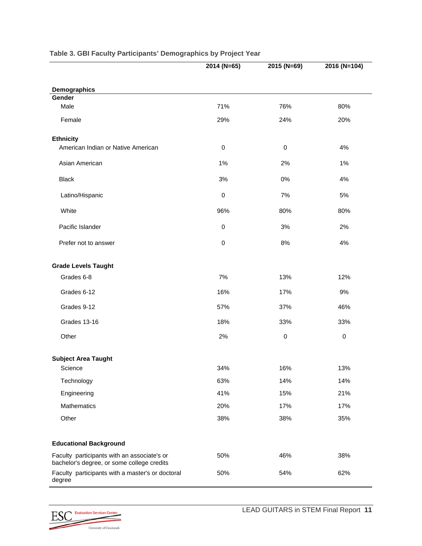|                                                                                           | 2014 (N=65) | 2015 (N=69) | 2016 (N=104) |
|-------------------------------------------------------------------------------------------|-------------|-------------|--------------|
|                                                                                           |             |             |              |
| Demographics                                                                              |             |             |              |
| Gender<br>Male                                                                            | 71%         | 76%         | 80%          |
|                                                                                           |             |             |              |
| Female                                                                                    | 29%         | 24%         | 20%          |
| <b>Ethnicity</b>                                                                          |             |             |              |
| American Indian or Native American                                                        | $\pmb{0}$   | $\pmb{0}$   | 4%           |
| Asian American                                                                            | 1%          | 2%          | 1%           |
| <b>Black</b>                                                                              | 3%          | 0%          | 4%           |
| Latino/Hispanic                                                                           | $\pmb{0}$   | 7%          | 5%           |
| White                                                                                     | 96%         | 80%         | 80%          |
| Pacific Islander                                                                          | 0           | 3%          | 2%           |
| Prefer not to answer                                                                      | 0           | 8%          | 4%           |
| <b>Grade Levels Taught</b>                                                                |             |             |              |
| Grades 6-8                                                                                | 7%          | 13%         | 12%          |
| Grades 6-12                                                                               | 16%         | 17%         | 9%           |
| Grades 9-12                                                                               | 57%         | 37%         | 46%          |
| Grades 13-16                                                                              | 18%         | 33%         | 33%          |
| Other                                                                                     | 2%          | $\pmb{0}$   | $\pmb{0}$    |
| <b>Subject Area Taught</b>                                                                |             |             |              |
| Science                                                                                   | 34%         | 16%         | 13%          |
| Technology                                                                                | 63%         | 14%         | 14%          |
| Engineering                                                                               | 41%         | 15%         | 21%          |
| Mathematics                                                                               | 20%         | 17%         | 17%          |
| Other                                                                                     | 38%         | 38%         | 35%          |
| <b>Educational Background</b>                                                             |             |             |              |
|                                                                                           |             |             |              |
| Faculty participants with an associate's or<br>bachelor's degree, or some college credits | 50%         | 46%         | 38%          |
| Faculty participants with a master's or doctoral<br>degree                                | 50%         | 54%         | 62%          |

#### **Table 3. GBI Faculty Participants' Demographics by Project Year**

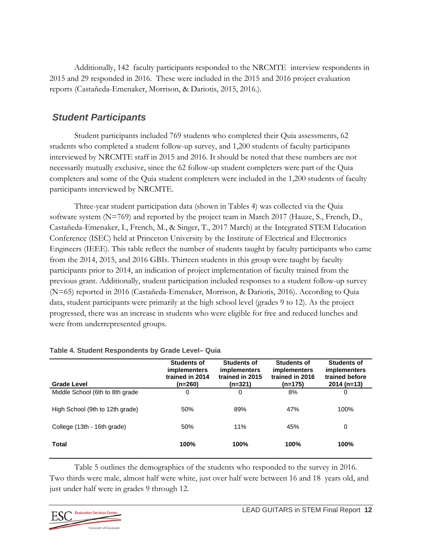Additionally, 142 faculty participants responded to the NRCMTE interview respondents in 2015 and 29 responded in 2016. These were included in the 2015 and 2016 project evaluation reports (Castañeda-Emenaker, Morrison, & Dariotis, 2015, 2016.).

#### *Student Participants*

Student participants included 769 students who completed their Quia assessments, 62 students who completed a student follow-up survey, and 1,200 students of faculty participants interviewed by NRCMTE staff in 2015 and 2016. It should be noted that these numbers are not necessarily mutually exclusive, since the 62 follow-up student completers were part of the Quia completers and some of the Quia student completers were included in the 1,200 students of faculty participants interviewed by NRCMTE.

Three-year student participation data (shown in Tables 4) was collected via the Quia software system (N=769) and reported by the project team in March 2017 (Hauze, S., French, D., Castañeda-Emenaker, I., French, M., & Singer, T., 2017 March) at the Integrated STEM Education Conference (ISEC) held at Princeton University by the Institute of Electrical and Electronics Engineers (IEEE). This table reflect the number of students taught by faculty participants who came from the 2014, 2015, and 2016 GBIs. Thirteen students in this group were taught by faculty participants prior to 2014, an indication of project implementation of faculty trained from the previous grant. Additionally, student participation included responses to a student follow-up survey (N=65) reported in 2016 (Castañeda-Emenaker, Morrison, & Dariotis, 2016). According to Quia data, student participants were primarily at the high school level (grades 9 to 12). As the project progressed, there was an increase in students who were eligible for free and reduced lunches and were from underrepresented groups.

| <b>Grade Level</b>              | Students of<br><i>implementers</i><br>trained in 2014<br>(n=260) | <b>Students of</b><br><i>implementers</i><br>trained in 2015<br>$(n=321)$ | <b>Students of</b><br><i>implementers</i><br>trained in 2016<br>(n=175) | <b>Students of</b><br><i>implementers</i><br>trained before<br>$2014(n=13)$ |
|---------------------------------|------------------------------------------------------------------|---------------------------------------------------------------------------|-------------------------------------------------------------------------|-----------------------------------------------------------------------------|
| Middle School (6th to 8th grade | 0                                                                | 0                                                                         | 8%                                                                      | 0                                                                           |
| High School (9th to 12th grade) | 50%                                                              | 89%                                                                       | 47%                                                                     | 100%                                                                        |
| College (13th - 16th grade)     | 50%                                                              | 11%                                                                       | 45%                                                                     | 0                                                                           |
| <b>Total</b>                    | 100%                                                             | <b>100%</b>                                                               | 100%                                                                    | 100%                                                                        |

#### **Table 4. Student Respondents by Grade Level– Quia**

Table 5 outlines the demographics of the students who responded to the survey in 2016. Two thirds were male, almost half were white, just over half were between 16 and 18 years old, and just under half were in grades 9 through 12.

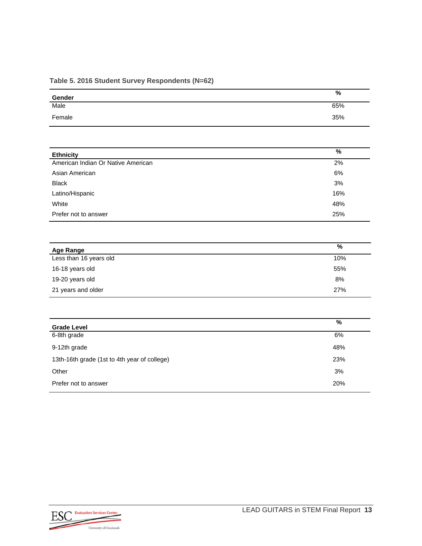#### **Table 5. 2016 Student Survey Respondents (N=62)**

| Gender                                       | $\overline{\frac{9}{6}}$ |
|----------------------------------------------|--------------------------|
| Male                                         | 65%                      |
| Female                                       | 35%                      |
|                                              |                          |
| <b>Ethnicity</b>                             | $\frac{9}{6}$            |
| American Indian Or Native American           | $2\%$                    |
| Asian American                               | 6%                       |
| <b>Black</b>                                 | 3%                       |
| Latino/Hispanic                              | 16%                      |
| White                                        | 48%                      |
| Prefer not to answer                         | 25%                      |
| <b>Age Range</b>                             | $\frac{9}{6}$            |
| Less than 16 years old                       | 10%                      |
| 16-18 years old                              | 55%                      |
| 19-20 years old                              | 8%                       |
| 21 years and older                           | 27%                      |
|                                              |                          |
| <b>Grade Level</b>                           | $\frac{9}{6}$            |
| 6-8th grade                                  | 6%                       |
| 9-12th grade                                 | 48%                      |
| 13th-16th grade (1st to 4th year of college) | 23%                      |
| Other                                        | 3%                       |
| Prefer not to answer                         | 20%                      |

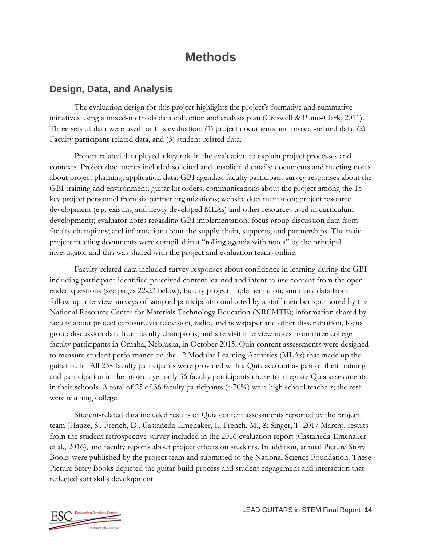## **Methods**

#### **Design, Data, and Analysis**

The evaluation design for this project highlights the project's formative and summative initiatives using a mixed-methods data collection and analysis plan (Creswell & Plano-Clark, 2011). Three sets of data were used for this evaluation: (1) project documents and project-related data, (2) Faculty participant-related data, and (3) student-related data.

Project-related data played a key role in the evaluation to explain project processes and contexts. Project documents included solicited and unsolicited emails; documents and meeting notes about project planning; application data; GBI agendas; faculty participant survey responses about the GBI training and environment; guitar kit orders; communications about the project among the 15 key project personnel from six partner organizations; website documentation; project resource development (e.g. existing and newly developed MLAs) and other resources used in curriculum development); evaluator notes regarding GBI implementation; focus group discussion data from faculty champions; and information about the supply chain, supports, and partnerships. The main project meeting documents were compiled in a "rolling agenda with notes" by the principal investigator and this was shared with the project and evaluation teams online.

Faculty-related data included survey responses about confidence in learning during the GBI including participant-identified perceived content learned and intent to use content from the openended questions (see pages 22-23 below); faculty project implementation; summary data from follow-up interview surveys of sampled participants conducted by a staff member sponsored by the National Resource Center for Materials Technology Education (NRCMTE); information shared by faculty about project exposure via television, radio, and newspaper and other dissemination, focus group discussion data from faculty champions, and site visit interview notes from three college faculty participants in Omaha, Nebraska, in October 2015. Quia content assessments were designed to measure student performance on the 12 Modular Learning Activities (MLAs) that made up the guitar build. All 238 faculty participants were provided with a Quia account as part of their training and participation in the project, yet only 36 faculty participants chose to integrate Quia assessments in their schools. A total of 25 of 36 faculty participants ( $\sim$ 70%) were high school teachers; the rest were teaching college.

Student-related data included results of Quia content assessments reported by the project team (Hauze, S., French, D., Castañeda-Emenaker, I., French, M., & Singer, T. 2017 March), results from the student retrospective survey included in the 2016 evaluation report (Castañeda-Emenaker et al., 2016), and faculty reports about project effects on students. In addition, annual Picture Story Books were published by the project team and submitted to the National Science Foundation. These Picture Story Books depicted the guitar build process and student engagement and interaction that reflected soft skills development.

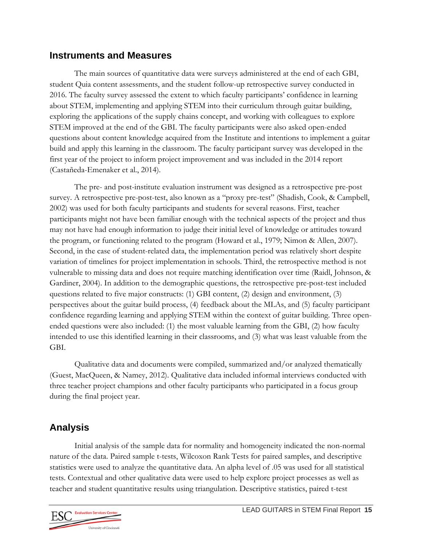#### **Instruments and Measures**

The main sources of quantitative data were surveys administered at the end of each GBI, student Quia content assessments, and the student follow-up retrospective survey conducted in 2016. The faculty survey assessed the extent to which faculty participants' confidence in learning about STEM, implementing and applying STEM into their curriculum through guitar building, exploring the applications of the supply chains concept, and working with colleagues to explore STEM improved at the end of the GBI. The faculty participants were also asked open-ended questions about content knowledge acquired from the Institute and intentions to implement a guitar build and apply this learning in the classroom. The faculty participant survey was developed in the first year of the project to inform project improvement and was included in the 2014 report (Castañeda-Emenaker et al., 2014).

The pre- and post-institute evaluation instrument was designed as a retrospective pre-post survey. A retrospective pre-post-test, also known as a "proxy pre-test" (Shadish, Cook, & Campbell, 2002) was used for both faculty participants and students for several reasons. First, teacher participants might not have been familiar enough with the technical aspects of the project and thus may not have had enough information to judge their initial level of knowledge or attitudes toward the program, or functioning related to the program (Howard et al., 1979; Nimon & Allen, 2007). Second, in the case of student-related data, the implementation period was relatively short despite variation of timelines for project implementation in schools. Third, the retrospective method is not vulnerable to missing data and does not require matching identification over time (Raidl, Johnson, & Gardiner, 2004). In addition to the demographic questions, the retrospective pre-post-test included questions related to five major constructs: (1) GBI content, (2) design and environment, (3) perspectives about the guitar build process, (4) feedback about the MLAs, and (5) faculty participant confidence regarding learning and applying STEM within the context of guitar building. Three openended questions were also included: (1) the most valuable learning from the GBI, (2) how faculty intended to use this identified learning in their classrooms, and (3) what was least valuable from the GBI.

Qualitative data and documents were compiled, summarized and/or analyzed thematically (Guest, MacQueen, & Namey, 2012). Qualitative data included informal interviews conducted with three teacher project champions and other faculty participants who participated in a focus group during the final project year.

### **Analysis**

Initial analysis of the sample data for normality and homogeneity indicated the non-normal nature of the data. Paired sample t-tests, Wilcoxon Rank Tests for paired samples, and descriptive statistics were used to analyze the quantitative data. An alpha level of .05 was used for all statistical tests. Contextual and other qualitative data were used to help explore project processes as well as teacher and student quantitative results using triangulation. Descriptive statistics, paired t-test

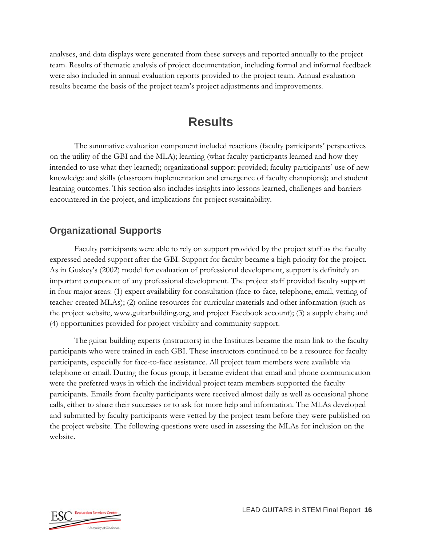analyses, and data displays were generated from these surveys and reported annually to the project team. Results of thematic analysis of project documentation, including formal and informal feedback were also included in annual evaluation reports provided to the project team. Annual evaluation results became the basis of the project team's project adjustments and improvements.

## **Results**

The summative evaluation component included reactions (faculty participants' perspectives on the utility of the GBI and the MLA); learning (what faculty participants learned and how they intended to use what they learned); organizational support provided; faculty participants' use of new knowledge and skills (classroom implementation and emergence of faculty champions); and student learning outcomes. This section also includes insights into lessons learned, challenges and barriers encountered in the project, and implications for project sustainability.

### **Organizational Supports**

Faculty participants were able to rely on support provided by the project staff as the faculty expressed needed support after the GBI. Support for faculty became a high priority for the project. As in Guskey's (2002) model for evaluation of professional development, support is definitely an important component of any professional development. The project staff provided faculty support in four major areas: (1) expert availability for consultation (face-to-face, telephone, email, vetting of teacher-created MLAs); (2) online resources for curricular materials and other information (such as the project website, www.guitarbuilding.org, and project Facebook account); (3) a supply chain; and (4) opportunities provided for project visibility and community support.

The guitar building experts (instructors) in the Institutes became the main link to the faculty participants who were trained in each GBI. These instructors continued to be a resource for faculty participants, especially for face-to-face assistance. All project team members were available via telephone or email. During the focus group, it became evident that email and phone communication were the preferred ways in which the individual project team members supported the faculty participants. Emails from faculty participants were received almost daily as well as occasional phone calls, either to share their successes or to ask for more help and information. The MLAs developed and submitted by faculty participants were vetted by the project team before they were published on the project website. The following questions were used in assessing the MLAs for inclusion on the website.

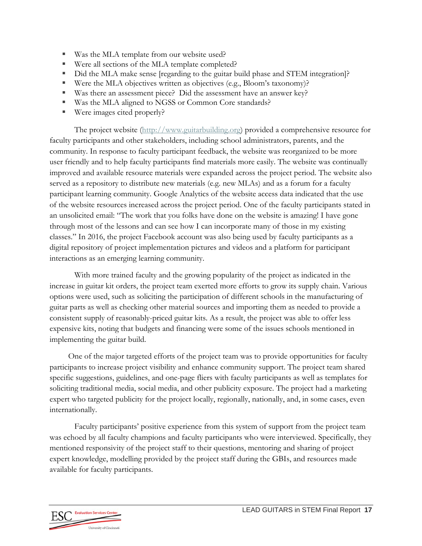- Was the MLA template from our website used?
- Were all sections of the MLA template completed?
- Did the MLA make sense [regarding to the guitar build phase and STEM integration]?
- Were the MLA objectives written as objectives (e.g., Bloom's taxonomy)?
- Was there an assessment piece? Did the assessment have an answer key?
- Was the MLA aligned to NGSS or Common Core standards?
- Were images cited properly?

The project website (http://www.guitarbuilding.org) provided a comprehensive resource for faculty participants and other stakeholders, including school administrators, parents, and the community. In response to faculty participant feedback, the website was reorganized to be more user friendly and to help faculty participants find materials more easily. The website was continually improved and available resource materials were expanded across the project period. The website also served as a repository to distribute new materials (e.g. new MLAs) and as a forum for a faculty participant learning community. Google Analytics of the website access data indicated that the use of the website resources increased across the project period. One of the faculty participants stated in an unsolicited email: "The work that you folks have done on the website is amazing! I have gone through most of the lessons and can see how I can incorporate many of those in my existing classes." In 2016, the project Facebook account was also being used by faculty participants as a digital repository of project implementation pictures and videos and a platform for participant interactions as an emerging learning community.

With more trained faculty and the growing popularity of the project as indicated in the increase in guitar kit orders, the project team exerted more efforts to grow its supply chain. Various options were used, such as soliciting the participation of different schools in the manufacturing of guitar parts as well as checking other material sources and importing them as needed to provide a consistent supply of reasonably-priced guitar kits. As a result, the project was able to offer less expensive kits, noting that budgets and financing were some of the issues schools mentioned in implementing the guitar build.

One of the major targeted efforts of the project team was to provide opportunities for faculty participants to increase project visibility and enhance community support. The project team shared specific suggestions, guidelines, and one-page fliers with faculty participants as well as templates for soliciting traditional media, social media, and other publicity exposure. The project had a marketing expert who targeted publicity for the project locally, regionally, nationally, and, in some cases, even internationally.

Faculty participants' positive experience from this system of support from the project team was echoed by all faculty champions and faculty participants who were interviewed. Specifically, they mentioned responsivity of the project staff to their questions, mentoring and sharing of project expert knowledge, modelling provided by the project staff during the GBIs, and resources made available for faculty participants.

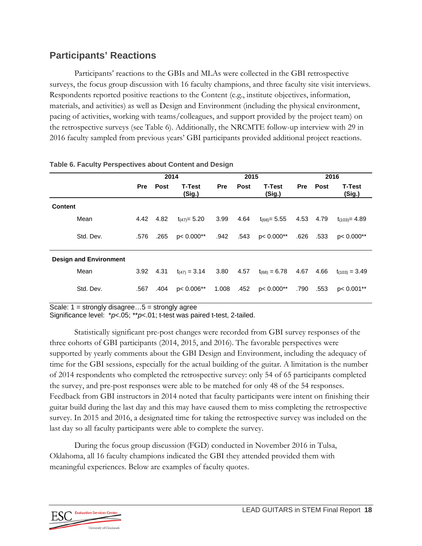#### **Participants' Reactions**

Participants' reactions to the GBIs and MLAs were collected in the GBI retrospective surveys, the focus group discussion with 16 faculty champions, and three faculty site visit interviews. Respondents reported positive reactions to the Content (e.g., institute objectives, information, materials, and activities) as well as Design and Environment (including the physical environment, pacing of activities, working with teams/colleagues, and support provided by the project team) on the retrospective surveys (see Table 6). Additionally, the NRCMTE follow-up interview with 29 in 2016 faculty sampled from previous years' GBI participants provided additional project reactions.

|                               | 2014 |      |                         |            | 2015 |                         |      | 2016 |                         |  |
|-------------------------------|------|------|-------------------------|------------|------|-------------------------|------|------|-------------------------|--|
|                               | Pre  | Post | <b>T-Test</b><br>(Sig.) | <b>Pre</b> | Post | <b>T-Test</b><br>(Sig.) | Pre  | Post | <b>T-Test</b><br>(Sig.) |  |
| <b>Content</b>                |      |      |                         |            |      |                         |      |      |                         |  |
| Mean                          | 4.42 | 4.82 | $t_{(47)} = 5.20$       | 3.99       | 4.64 | $t_{(68)} = 5.55$       | 4.53 | 4.79 | $t_{(103)} = 4.89$      |  |
| Std. Dev.                     | .576 | .265 | $p < 0.000**$           | .942       | .543 | p< 0.000**              | .626 | .533 | $p < 0.000**$           |  |
| <b>Design and Environment</b> |      |      |                         |            |      |                         |      |      |                         |  |
| Mean                          | 3.92 | 4.31 | $t_{(47)} = 3.14$       | 3.80       | 4.57 | $t_{(68)} = 6.78$       | 4.67 | 4.66 | $t_{(103)} = 3.49$      |  |
| Std. Dev.                     | .567 | .404 | $p < 0.006**$           | 1.008      | .452 | p< $0.000**$            | .790 | .553 | $p < 0.001**$           |  |

#### **Table 6. Faculty Perspectives about Content and Design**

Scale: 1 = strongly disagree…5 = strongly agree

Significance level: \**p*<.05; \*\**p*<.01; t-test was paired t-test, 2-tailed.

Statistically significant pre-post changes were recorded from GBI survey responses of the three cohorts of GBI participants (2014, 2015, and 2016). The favorable perspectives were supported by yearly comments about the GBI Design and Environment, including the adequacy of time for the GBI sessions, especially for the actual building of the guitar. A limitation is the number of 2014 respondents who completed the retrospective survey: only 54 of 65 participants completed the survey, and pre-post responses were able to be matched for only 48 of the 54 responses. Feedback from GBI instructors in 2014 noted that faculty participants were intent on finishing their guitar build during the last day and this may have caused them to miss completing the retrospective survey. In 2015 and 2016, a designated time for taking the retrospective survey was included on the last day so all faculty participants were able to complete the survey.

During the focus group discussion (FGD) conducted in November 2016 in Tulsa, Oklahoma, all 16 faculty champions indicated the GBI they attended provided them with meaningful experiences. Below are examples of faculty quotes.

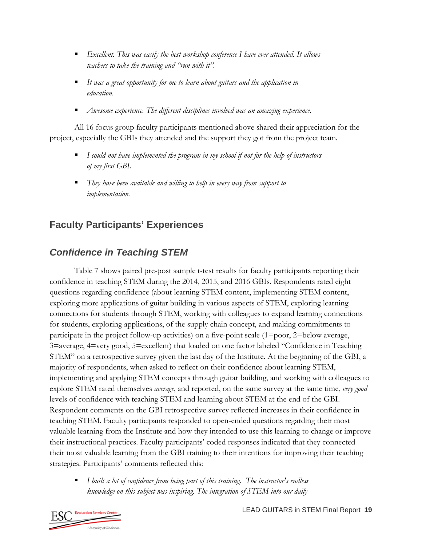- *Excellent. This was easily the best workshop conference I have ever attended. It allows teachers to take the training and "run with it".*
- *It was a great opportunity for me to learn about guitars and the application in education.*
- *Awesome experience. The different disciplines involved was an amazing experience.*

All 16 focus group faculty participants mentioned above shared their appreciation for the project, especially the GBIs they attended and the support they got from the project team*.* 

- *I could not have implemented the program in my school if not for the help of instructors of my first GBI.*
- *They have been available and willing to help in every way from support to implementation.*

## **Faculty Participants' Experiences**

## *Confidence in Teaching STEM*

Table 7 shows paired pre-post sample t-test results for faculty participants reporting their confidence in teaching STEM during the 2014, 2015, and 2016 GBIs. Respondents rated eight questions regarding confidence (about learning STEM content, implementing STEM content, exploring more applications of guitar building in various aspects of STEM, exploring learning connections for students through STEM, working with colleagues to expand learning connections for students, exploring applications, of the supply chain concept, and making commitments to participate in the project follow-up activities) on a five-point scale (1=poor, 2=below average, 3=average, 4=very good, 5=excellent) that loaded on one factor labeled "Confidence in Teaching STEM" on a retrospective survey given the last day of the Institute. At the beginning of the GBI, a majority of respondents, when asked to reflect on their confidence about learning STEM, implementing and applying STEM concepts through guitar building, and working with colleagues to explore STEM rated themselves *average*, and reported, on the same survey at the same time, *very good* levels of confidence with teaching STEM and learning about STEM at the end of the GBI. Respondent comments on the GBI retrospective survey reflected increases in their confidence in teaching STEM. Faculty participants responded to open-ended questions regarding their most valuable learning from the Institute and how they intended to use this learning to change or improve their instructional practices. Faculty participants' coded responses indicated that they connected their most valuable learning from the GBI training to their intentions for improving their teaching strategies. Participants' comments reflected this:

 *I built a lot of confidence from being part of this training. The instructor's endless knowledge on this subject was inspiring. The integration of STEM into our daily* 

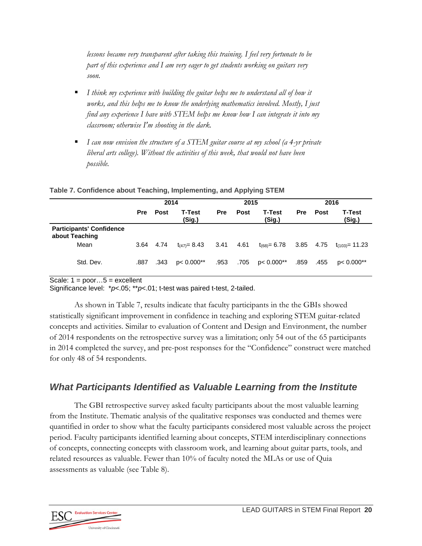*lessons became very transparent after taking this training. I feel very fortunate to be part of this experience and I am very eager to get students working on guitars very soon.* 

- *I think my experience with building the guitar helps me to understand all of how it works, and this helps me to know the underlying mathematics involved. Mostly, I just find any experience I have with STEM helps me know how I can integrate it into my classroom; otherwise I'm shooting in the dark.*
- *I can now envision the structure of a STEM guitar course at my school (a 4-yr private liberal arts college). Without the activities of this week, that would not have been possible.*

|                                                   | 2014       |             |                         | 2015       |             |                          | 2016       |             |                               |
|---------------------------------------------------|------------|-------------|-------------------------|------------|-------------|--------------------------|------------|-------------|-------------------------------|
|                                                   | <b>Pre</b> | <b>Post</b> | <b>T-Test</b><br>(Sig.) | <b>Pre</b> | <b>Post</b> | <b>T-Test</b><br>(Sig.)  | <b>Pre</b> | <b>Post</b> | T-Test<br>(Sig.)              |
| <b>Participants' Confidence</b><br>about Teaching |            |             |                         |            |             |                          |            |             |                               |
| Mean                                              | 3.64       | 4.74        | $t_{(47)} = 8.43$       | 3.41       | 4.61        | t <sub>(68)</sub> = 6.78 |            |             | 3.85 4.75 $t_{(103)} = 11.23$ |
| Std. Dev.                                         | .887       | .343        | p< $0.000**$            | .953       | .705        | p< 0.000**               | .859       | .455        | $p < 0.000**$                 |

#### **Table 7. Confidence about Teaching, Implementing, and Applying STEM**

Scale:  $1 = poor...5 = excellent$ 

Significance level: \**p*<.05; \*\**p*<.01; t-test was paired t-test, 2-tailed.

As shown in Table 7, results indicate that faculty participants in the the GBIs showed statistically significant improvement in confidence in teaching and exploring STEM guitar-related concepts and activities. Similar to evaluation of Content and Design and Environment, the number of 2014 respondents on the retrospective survey was a limitation; only 54 out of the 65 participants in 2014 completed the survey, and pre-post responses for the "Confidence" construct were matched for only 48 of 54 respondents.

### *What Participants Identified as Valuable Learning from the Institute*

The GBI retrospective survey asked faculty participants about the most valuable learning from the Institute. Thematic analysis of the qualitative responses was conducted and themes were quantified in order to show what the faculty participants considered most valuable across the project period. Faculty participants identified learning about concepts, STEM interdisciplinary connections of concepts, connecting concepts with classroom work, and learning about guitar parts, tools, and related resources as valuable. Fewer than 10% of faculty noted the MLAs or use of Quia assessments as valuable (see Table 8).

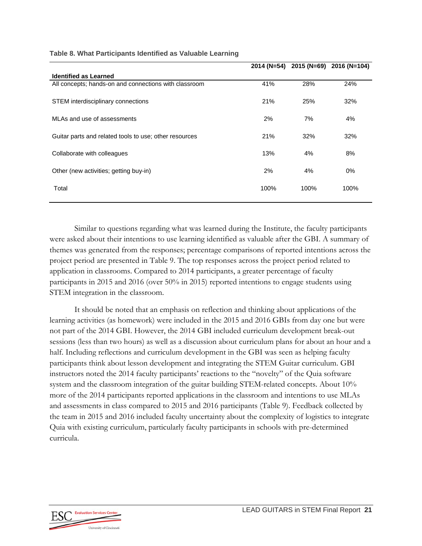|                                                        | 2014 (N=54) |      | 2015 (N=69) 2016 (N=104) |
|--------------------------------------------------------|-------------|------|--------------------------|
| <b>Identified as Learned</b>                           |             |      |                          |
| All concepts; hands-on and connections with classroom  | 41%         | 28%  | 24%                      |
| STEM interdisciplinary connections                     | 21%         | 25%  | 32%                      |
| MLAs and use of assessments                            | 2%          | 7%   | 4%                       |
| Guitar parts and related tools to use; other resources | 21%         | 32%  | 32%                      |
| Collaborate with colleagues                            | 13%         | 4%   | 8%                       |
| Other (new activities; getting buy-in)                 | 2%          | 4%   | $0\%$                    |
| Total                                                  | 100%        | 100% | 100%                     |

#### **Table 8. What Participants Identified as Valuable Learning**

Similar to questions regarding what was learned during the Institute, the faculty participants were asked about their intentions to use learning identified as valuable after the GBI. A summary of themes was generated from the responses; percentage comparisons of reported intentions across the project period are presented in Table 9. The top responses across the project period related to application in classrooms. Compared to 2014 participants, a greater percentage of faculty participants in 2015 and 2016 (over 50% in 2015) reported intentions to engage students using STEM integration in the classroom.

It should be noted that an emphasis on reflection and thinking about applications of the learning activities (as homework) were included in the 2015 and 2016 GBIs from day one but were not part of the 2014 GBI. However, the 2014 GBI included curriculum development break-out sessions (less than two hours) as well as a discussion about curriculum plans for about an hour and a half. Including reflections and curriculum development in the GBI was seen as helping faculty participants think about lesson development and integrating the STEM Guitar curriculum. GBI instructors noted the 2014 faculty participants' reactions to the "novelty" of the Quia software system and the classroom integration of the guitar building STEM-related concepts. About 10% more of the 2014 participants reported applications in the classroom and intentions to use MLAs and assessments in class compared to 2015 and 2016 participants (Table 9). Feedback collected by the team in 2015 and 2016 included faculty uncertainty about the complexity of logistics to integrate Quia with existing curriculum, particularly faculty participants in schools with pre-determined curricula.

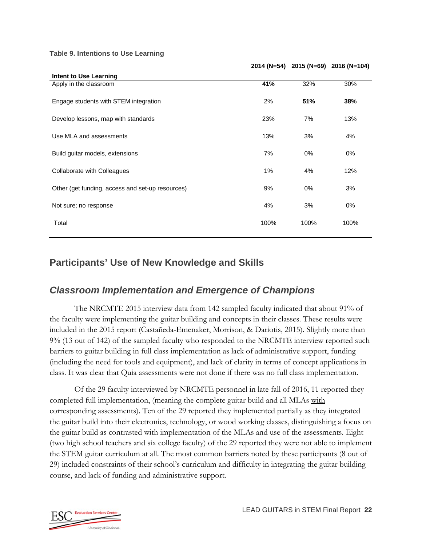**Table 9. Intentions to Use Learning** 

|                                                  |       |       | 2014 (N=54) 2015 (N=69) 2016 (N=104) |
|--------------------------------------------------|-------|-------|--------------------------------------|
| Intent to Use Learning                           |       |       |                                      |
| Apply in the classroom                           | 41%   | 32%   | 30%                                  |
| Engage students with STEM integration            | 2%    | 51%   | 38%                                  |
| Develop lessons, map with standards              | 23%   | 7%    | 13%                                  |
| Use MLA and assessments                          | 13%   | 3%    | 4%                                   |
| Build guitar models, extensions                  | 7%    | $0\%$ | 0%                                   |
| Collaborate with Colleagues                      | $1\%$ | 4%    | 12%                                  |
| Other (get funding, access and set-up resources) | 9%    | $0\%$ | 3%                                   |
| Not sure; no response                            | 4%    | 3%    | 0%                                   |
| Total                                            | 100%  | 100%  | 100%                                 |

#### **Participants' Use of New Knowledge and Skills**

#### *Classroom Implementation and Emergence of Champions*

The NRCMTE 2015 interview data from 142 sampled faculty indicated that about 91% of the faculty were implementing the guitar building and concepts in their classes. These results were included in the 2015 report (Castañeda-Emenaker, Morrison, & Dariotis, 2015). Slightly more than 9% (13 out of 142) of the sampled faculty who responded to the NRCMTE interview reported such barriers to guitar building in full class implementation as lack of administrative support, funding (including the need for tools and equipment), and lack of clarity in terms of concept applications in class. It was clear that Quia assessments were not done if there was no full class implementation.

Of the 29 faculty interviewed by NRCMTE personnel in late fall of 2016, 11 reported they completed full implementation, (meaning the complete guitar build and all MLAs with corresponding assessments). Ten of the 29 reported they implemented partially as they integrated the guitar build into their electronics, technology, or wood working classes, distinguishing a focus on the guitar build as contrasted with implementation of the MLAs and use of the assessments. Eight (two high school teachers and six college faculty) of the 29 reported they were not able to implement the STEM guitar curriculum at all. The most common barriers noted by these participants (8 out of 29) included constraints of their school's curriculum and difficulty in integrating the guitar building course, and lack of funding and administrative support.

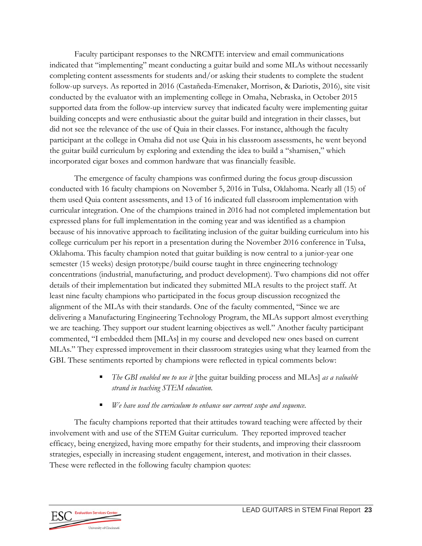Faculty participant responses to the NRCMTE interview and email communications indicated that "implementing" meant conducting a guitar build and some MLAs without necessarily completing content assessments for students and/or asking their students to complete the student follow-up surveys. As reported in 2016 (Castañeda-Emenaker, Morrison, & Dariotis, 2016), site visit conducted by the evaluator with an implementing college in Omaha, Nebraska, in October 2015 supported data from the follow-up interview survey that indicated faculty were implementing guitar building concepts and were enthusiastic about the guitar build and integration in their classes, but did not see the relevance of the use of Quia in their classes. For instance, although the faculty participant at the college in Omaha did not use Quia in his classroom assessments, he went beyond the guitar build curriculum by exploring and extending the idea to build a "shamisen," which incorporated cigar boxes and common hardware that was financially feasible.

The emergence of faculty champions was confirmed during the focus group discussion conducted with 16 faculty champions on November 5, 2016 in Tulsa, Oklahoma. Nearly all (15) of them used Quia content assessments, and 13 of 16 indicated full classroom implementation with curricular integration. One of the champions trained in 2016 had not completed implementation but expressed plans for full implementation in the coming year and was identified as a champion because of his innovative approach to facilitating inclusion of the guitar building curriculum into his college curriculum per his report in a presentation during the November 2016 conference in Tulsa, Oklahoma. This faculty champion noted that guitar building is now central to a junior-year one semester (15 weeks) design prototype/build course taught in three engineering technology concentrations (industrial, manufacturing, and product development). Two champions did not offer details of their implementation but indicated they submitted MLA results to the project staff. At least nine faculty champions who participated in the focus group discussion recognized the alignment of the MLAs with their standards. One of the faculty commented, "Since we are delivering a Manufacturing Engineering Technology Program, the MLAs support almost everything we are teaching. They support our student learning objectives as well." Another faculty participant commented, "I embedded them [MLAs] in my course and developed new ones based on current MLAs." They expressed improvement in their classroom strategies using what they learned from the GBI. These sentiments reported by champions were reflected in typical comments below:

- *The GBI enabled me to use it* [the guitar building process and MLAs] *as a valuable strand in teaching STEM education.*
- *We have used the curriculum to enhance our current scope and sequence.*

The faculty champions reported that their attitudes toward teaching were affected by their involvement with and use of the STEM Guitar curriculum. They reported improved teacher efficacy, being energized, having more empathy for their students, and improving their classroom strategies, especially in increasing student engagement, interest, and motivation in their classes. These were reflected in the following faculty champion quotes:

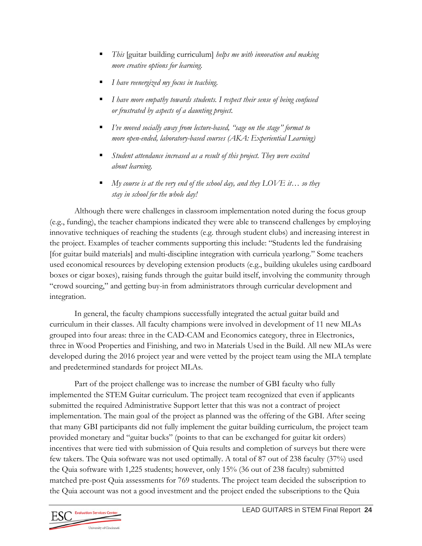- *This* [guitar building curriculum] *helps me with innovation and making more creative options for learning.*
- *I have reenergized my focus in teaching.*
- *I have more empathy towards students. I respect their sense of being confused or frustrated by aspects of a daunting project.*
- *I've moved socially away from lecture-based, "sage on the stage" format to more open-ended, laboratory-based courses (AKA: Experiential Learning)*
- *Student attendance increased as a result of this project. They were excited about learning.*
- *My course is at the very end of the school day, and they LOVE it… so they stay in school for the whole day!*

Although there were challenges in classroom implementation noted during the focus group (e.g., funding), the teacher champions indicated they were able to transcend challenges by employing innovative techniques of reaching the students (e.g. through student clubs) and increasing interest in the project. Examples of teacher comments supporting this include: "Students led the fundraising [for guitar build materials] and multi-discipline integration with curricula yearlong." Some teachers used economical resources by developing extension products (e.g., building ukuleles using cardboard boxes or cigar boxes), raising funds through the guitar build itself, involving the community through "crowd sourcing," and getting buy-in from administrators through curricular development and integration.

In general, the faculty champions successfully integrated the actual guitar build and curriculum in their classes. All faculty champions were involved in development of 11 new MLAs grouped into four areas: three in the CAD-CAM and Economics category, three in Electronics, three in Wood Properties and Finishing, and two in Materials Used in the Build. All new MLAs were developed during the 2016 project year and were vetted by the project team using the MLA template and predetermined standards for project MLAs.

Part of the project challenge was to increase the number of GBI faculty who fully implemented the STEM Guitar curriculum. The project team recognized that even if applicants submitted the required Administrative Support letter that this was not a contract of project implementation. The main goal of the project as planned was the offering of the GBI. After seeing that many GBI participants did not fully implement the guitar building curriculum, the project team provided monetary and "guitar bucks" (points to that can be exchanged for guitar kit orders) incentives that were tied with submission of Quia results and completion of surveys but there were few takers. The Quia software was not used optimally. A total of 87 out of 238 faculty (37%) used the Quia software with 1,225 students; however, only 15% (36 out of 238 faculty) submitted matched pre-post Quia assessments for 769 students. The project team decided the subscription to the Quia account was not a good investment and the project ended the subscriptions to the Quia

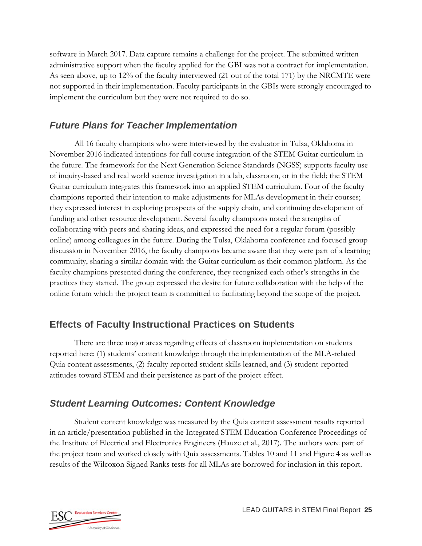software in March 2017. Data capture remains a challenge for the project. The submitted written administrative support when the faculty applied for the GBI was not a contract for implementation. As seen above, up to 12% of the faculty interviewed (21 out of the total 171) by the NRCMTE were not supported in their implementation. Faculty participants in the GBIs were strongly encouraged to implement the curriculum but they were not required to do so.

### *Future Plans for Teacher Implementation*

All 16 faculty champions who were interviewed by the evaluator in Tulsa, Oklahoma in November 2016 indicated intentions for full course integration of the STEM Guitar curriculum in the future. The framework for the Next Generation Science Standards (NGSS) supports faculty use of inquiry-based and real world science investigation in a lab, classroom, or in the field; the STEM Guitar curriculum integrates this framework into an applied STEM curriculum. Four of the faculty champions reported their intention to make adjustments for MLAs development in their courses; they expressed interest in exploring prospects of the supply chain, and continuing development of funding and other resource development. Several faculty champions noted the strengths of collaborating with peers and sharing ideas, and expressed the need for a regular forum (possibly online) among colleagues in the future. During the Tulsa, Oklahoma conference and focused group discussion in November 2016, the faculty champions became aware that they were part of a learning community, sharing a similar domain with the Guitar curriculum as their common platform. As the faculty champions presented during the conference, they recognized each other's strengths in the practices they started. The group expressed the desire for future collaboration with the help of the online forum which the project team is committed to facilitating beyond the scope of the project.

### **Effects of Faculty Instructional Practices on Students**

There are three major areas regarding effects of classroom implementation on students reported here: (1) students' content knowledge through the implementation of the MLA-related Quia content assessments, (2) faculty reported student skills learned, and (3) student-reported attitudes toward STEM and their persistence as part of the project effect.

### *Student Learning Outcomes: Content Knowledge*

Student content knowledge was measured by the Quia content assessment results reported in an article/presentation published in the Integrated STEM Education Conference Proceedings of the Institute of Electrical and Electronics Engineers (Hauze et al., 2017). The authors were part of the project team and worked closely with Quia assessments. Tables 10 and 11 and Figure 4 as well as results of the Wilcoxon Signed Ranks tests for all MLAs are borrowed for inclusion in this report.

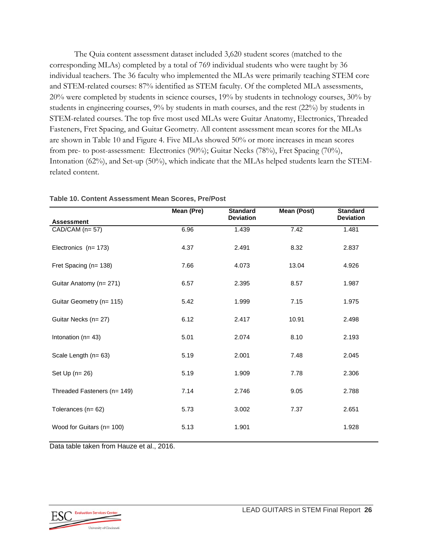The Quia content assessment dataset included 3,620 student scores (matched to the corresponding MLAs) completed by a total of 769 individual students who were taught by 36 individual teachers. The 36 faculty who implemented the MLAs were primarily teaching STEM core and STEM-related courses: 87% identified as STEM faculty. Of the completed MLA assessments, 20% were completed by students in science courses, 19% by students in technology courses, 30% by students in engineering courses, 9% by students in math courses, and the rest (22%) by students in STEM-related courses. The top five most used MLAs were Guitar Anatomy, Electronics, Threaded Fasteners, Fret Spacing, and Guitar Geometry. All content assessment mean scores for the MLAs are shown in Table 10 and Figure 4. Five MLAs showed 50% or more increases in mean scores from pre- to post-assessment: Electronics (90%); Guitar Necks (78%), Fret Spacing (70%), Intonation (62%), and Set-up (50%), which indicate that the MLAs helped students learn the STEMrelated content.

|                                         | Mean (Pre) | <b>Standard</b>  | <b>Mean (Post)</b> | <b>Standard</b>  |
|-----------------------------------------|------------|------------------|--------------------|------------------|
| <b>Assessment</b>                       |            | <b>Deviation</b> |                    | <b>Deviation</b> |
| $\overline{CAD}/\overline{CAM}$ (n= 57) | 6.96       | 1.439            | 7.42               | 1.481            |
| Electronics (n= 173)                    | 4.37       | 2.491            | 8.32               | 2.837            |
| Fret Spacing (n= 138)                   | 7.66       | 4.073            | 13.04              | 4.926            |
| Guitar Anatomy (n= 271)                 | 6.57       | 2.395            | 8.57               | 1.987            |
| Guitar Geometry (n= 115)                | 5.42       | 1.999            | 7.15               | 1.975            |
| Guitar Necks (n= 27)                    | 6.12       | 2.417            | 10.91              | 2.498            |
| Intonation ( $n = 43$ )                 | 5.01       | 2.074            | 8.10               | 2.193            |
| Scale Length (n= 63)                    | 5.19       | 2.001            | 7.48               | 2.045            |
| Set $Up(n=26)$                          | 5.19       | 1.909            | 7.78               | 2.306            |
| Threaded Fasteners (n= 149)             | 7.14       | 2.746            | 9.05               | 2.788            |
| Tolerances ( $n = 62$ )                 | 5.73       | 3.002            | 7.37               | 2.651            |
| Wood for Guitars (n= 100)               | 5.13       | 1.901            |                    | 1.928            |

**Table 10. Content Assessment Mean Scores, Pre/Post** 

Data table taken from Hauze et al., 2016.

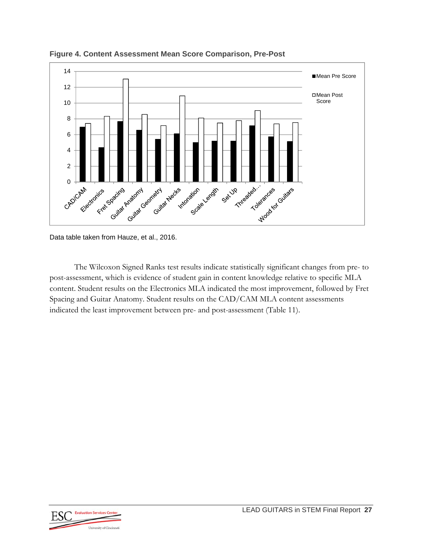

**Figure 4. Content Assessment Mean Score Comparison, Pre-Post** 

The Wilcoxon Signed Ranks test results indicate statistically significant changes from pre- to post-assessment, which is evidence of student gain in content knowledge relative to specific MLA content. Student results on the Electronics MLA indicated the most improvement, followed by Fret Spacing and Guitar Anatomy. Student results on the CAD/CAM MLA content assessments indicated the least improvement between pre- and post-assessment (Table 11).



Data table taken from Hauze, et al., 2016.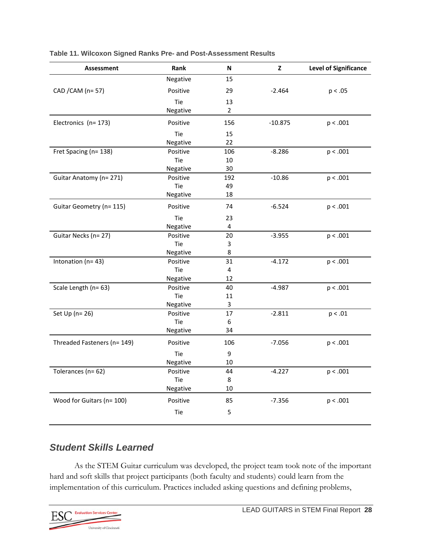| <b>Assessment</b>           | Rank     | N              | z         | <b>Level of Significance</b> |
|-----------------------------|----------|----------------|-----------|------------------------------|
|                             | Negative | 15             |           |                              |
| CAD / CAM (n = 57)          | Positive | 29             | $-2.464$  | p < .05                      |
|                             | Tie      | 13             |           |                              |
|                             | Negative | $\overline{2}$ |           |                              |
| Electronics (n= 173)        | Positive | 156            | $-10.875$ | p < .001                     |
|                             | Tie      | 15             |           |                              |
|                             | Negative | 22             |           |                              |
| Fret Spacing (n= 138)       | Positive | 106            | $-8.286$  | p < .001                     |
|                             | Tie      | 10             |           |                              |
|                             | Negative | 30             |           |                              |
| Guitar Anatomy (n= 271)     | Positive | 192            | $-10.86$  | p < .001                     |
|                             | Tie      | 49             |           |                              |
|                             | Negative | 18             |           |                              |
| Guitar Geometry (n= 115)    | Positive | 74             | $-6.524$  | p < .001                     |
|                             | Tie      | 23             |           |                              |
|                             | Negative | 4              |           |                              |
| Guitar Necks (n= 27)        | Positive | 20             | $-3.955$  | p < .001                     |
|                             | Tie      | 3              |           |                              |
|                             | Negative | 8              |           |                              |
| Intonation (n= 43)          | Positive | 31             | $-4.172$  | p < .001                     |
|                             | Tie      | $\pmb{4}$      |           |                              |
|                             | Negative | 12             |           |                              |
| Scale Length (n= 63)        | Positive | 40             | $-4.987$  | p < .001                     |
|                             | Tie      | 11             |           |                              |
|                             | Negative | 3              |           |                              |
| Set Up ( $n=26$ )           | Positive | 17             | $-2.811$  | p < .01                      |
|                             | Tie      | 6              |           |                              |
|                             | Negative | 34             |           |                              |
| Threaded Fasteners (n= 149) | Positive | 106            | $-7.056$  | p < .001                     |
|                             | Tie      | 9              |           |                              |
|                             | Negative | $10\,$         |           |                              |
| Tolerances (n= 62)          | Positive | 44             | $-4.227$  | p < .001                     |
|                             | Tie      | 8              |           |                              |
|                             | Negative | $10\,$         |           |                              |
| Wood for Guitars (n= 100)   | Positive | 85             | $-7.356$  | p < .001                     |
|                             | Tie      | 5              |           |                              |

**Table 11. Wilcoxon Signed Ranks Pre- and Post-Assessment Results** 

#### *Student Skills Learned*

As the STEM Guitar curriculum was developed, the project team took note of the important hard and soft skills that project participants (both faculty and students) could learn from the implementation of this curriculum. Practices included asking questions and defining problems,

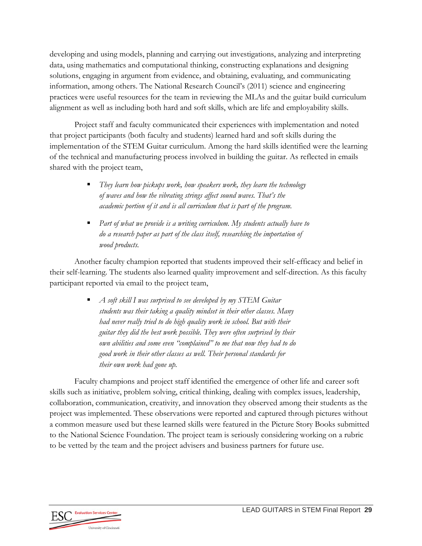developing and using models, planning and carrying out investigations, analyzing and interpreting data, using mathematics and computational thinking, constructing explanations and designing solutions, engaging in argument from evidence, and obtaining, evaluating, and communicating information, among others. The National Research Council's (2011) science and engineering practices were useful resources for the team in reviewing the MLAs and the guitar build curriculum alignment as well as including both hard and soft skills, which are life and employability skills.

Project staff and faculty communicated their experiences with implementation and noted that project participants (both faculty and students) learned hard and soft skills during the implementation of the STEM Guitar curriculum. Among the hard skills identified were the learning of the technical and manufacturing process involved in building the guitar. As reflected in emails shared with the project team,

- *They learn how pickups work, how speakers work, they learn the technology of waves and how the vibrating strings affect sound waves. That's the academic portion of it and is all curriculum that is part of the program.*
- *Part of what we provide is a writing curriculum. My students actually have to do a research paper as part of the class itself, researching the importation of wood products.*

Another faculty champion reported that students improved their self-efficacy and belief in their self-learning. The students also learned quality improvement and self-direction. As this faculty participant reported via email to the project team,

> *A soft skill I was surprised to see developed by my STEM Guitar students was their taking a quality mindset in their other classes. Many had never really tried to do high quality work in school. But with their guitar they did the best work possible. They were often surprised by their own abilities and some even "complained" to me that now they had to do good work in their other classes as well. Their personal standards for their own work had gone up.*

Faculty champions and project staff identified the emergence of other life and career soft skills such as initiative, problem solving, critical thinking, dealing with complex issues, leadership, collaboration, communication, creativity, and innovation they observed among their students as the project was implemented. These observations were reported and captured through pictures without a common measure used but these learned skills were featured in the Picture Story Books submitted to the National Science Foundation. The project team is seriously considering working on a rubric to be vetted by the team and the project advisers and business partners for future use.

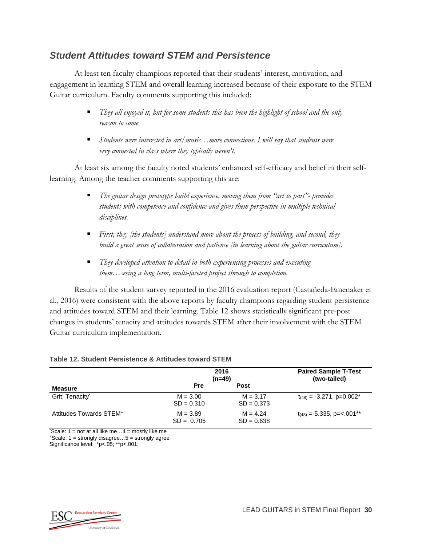#### *Student Attitudes toward STEM and Persistence*

At least ten faculty champions reported that their students' interest, motivation, and engagement in learning STEM and overall learning increased because of their exposure to the STEM Guitar curriculum. Faculty comments supporting this included:

- *They all enjoyed it, but for some students this has been the highlight of school and the only reason to come.*
- Students were interested in art/music...more connections. I will say that students were *very connected in class where they typically weren't.*

At least six among the faculty noted students' enhanced self-efficacy and belief in their selflearning. Among the teacher comments supporting this are:

- *The guitar design prototype build experience, moving them from "art to part"- provides students with competence and confidence and gives them perspective in multiple technical disciplines.*
- *First, they [the students] understand more about the process of building, and second, they build a great sense of collaboration and patience [in learning about the guitar curriculum].*
- *They developed attention to detail in both experiencing processes and executing them…seeing a long term, multi-faceted project through to completion.*

Results of the student survey reported in the 2016 evaluation report (Castañeda-Emenaker et al., 2016) were consistent with the above reports by faculty champions regarding student persistence and attitudes toward STEM and their learning. Table 12 shows statistically significant pre-post changes in students' tenacity and attitudes towards STEM after their involvement with the STEM Guitar curriculum implementation.

|                                     | 2016<br>$(n=49)$           |                            | <b>Paired Sample T-Test</b><br>(two-tailed) |
|-------------------------------------|----------------------------|----------------------------|---------------------------------------------|
| Measure                             | Pre                        | Post                       |                                             |
| Grit: Tenacity*                     | $M = 3.00$<br>$SD = 0.310$ | $M = 3.17$<br>$SD = 0.373$ | $t_{(48)} = -3.271$ , p=0.002 <sup>*</sup>  |
| Attitudes Towards STEM <sup>+</sup> | $M = 3.89$<br>$SD = 0.705$ | $M = 4.24$<br>$SD = 0.638$ | $t_{(48)} = -5.335, p = <.001**$            |

#### **Table 12. Student Persistence & Attitudes toward STEM**

\* Scale: 1 = not at all like me…4 = mostly like me + Scale: 1 = strongly disagree…5 = strongly agree

Significance level: \*p<.05; \*\*p<.001;

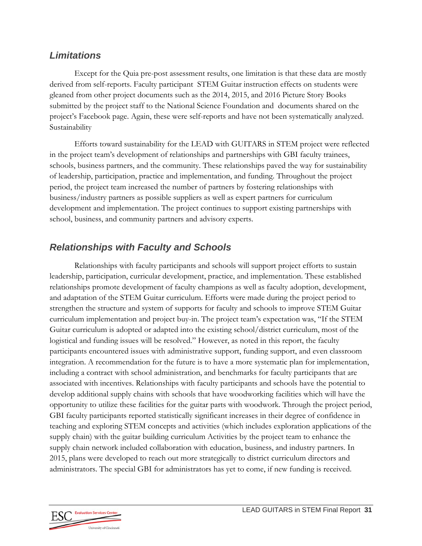#### *Limitations*

Except for the Quia pre-post assessment results, one limitation is that these data are mostly derived from self-reports. Faculty participant STEM Guitar instruction effects on students were gleaned from other project documents such as the 2014, 2015, and 2016 Picture Story Books submitted by the project staff to the National Science Foundation and documents shared on the project's Facebook page. Again, these were self-reports and have not been systematically analyzed. Sustainability

Efforts toward sustainability for the LEAD with GUITARS in STEM project were reflected in the project team's development of relationships and partnerships with GBI faculty trainees, schools, business partners, and the community. These relationships paved the way for sustainability of leadership, participation, practice and implementation, and funding. Throughout the project period, the project team increased the number of partners by fostering relationships with business/industry partners as possible suppliers as well as expert partners for curriculum development and implementation. The project continues to support existing partnerships with school, business, and community partners and advisory experts.

### *Relationships with Faculty and Schools*

Relationships with faculty participants and schools will support project efforts to sustain leadership, participation, curricular development, practice, and implementation. These established relationships promote development of faculty champions as well as faculty adoption, development, and adaptation of the STEM Guitar curriculum. Efforts were made during the project period to strengthen the structure and system of supports for faculty and schools to improve STEM Guitar curriculum implementation and project buy-in. The project team's expectation was, "If the STEM Guitar curriculum is adopted or adapted into the existing school/district curriculum, most of the logistical and funding issues will be resolved." However, as noted in this report, the faculty participants encountered issues with administrative support, funding support, and even classroom integration. A recommendation for the future is to have a more systematic plan for implementation, including a contract with school administration, and benchmarks for faculty participants that are associated with incentives. Relationships with faculty participants and schools have the potential to develop additional supply chains with schools that have woodworking facilities which will have the opportunity to utilize these facilities for the guitar parts with woodwork. Through the project period, GBI faculty participants reported statistically significant increases in their degree of confidence in teaching and exploring STEM concepts and activities (which includes exploration applications of the supply chain) with the guitar building curriculum Activities by the project team to enhance the supply chain network included collaboration with education, business, and industry partners. In 2015, plans were developed to reach out more strategically to district curriculum directors and administrators. The special GBI for administrators has yet to come, if new funding is received.

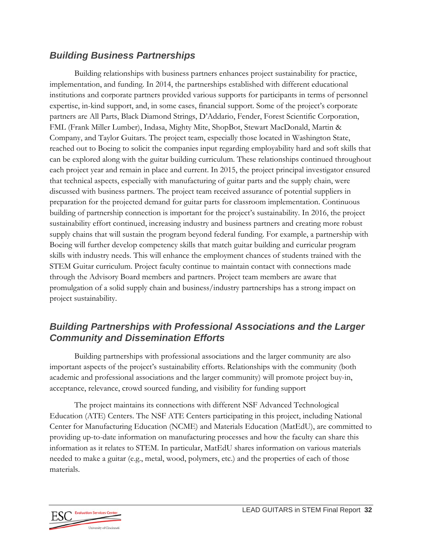#### *Building Business Partnerships*

Building relationships with business partners enhances project sustainability for practice, implementation, and funding. In 2014, the partnerships established with different educational institutions and corporate partners provided various supports for participants in terms of personnel expertise, in-kind support, and, in some cases, financial support. Some of the project's corporate partners are All Parts, Black Diamond Strings, D'Addario, Fender, Forest Scientific Corporation, FML (Frank Miller Lumber), Indasa, Mighty Mite, ShopBot, Stewart MacDonald, Martin & Company, and Taylor Guitars. The project team, especially those located in Washington State, reached out to Boeing to solicit the companies input regarding employability hard and soft skills that can be explored along with the guitar building curriculum. These relationships continued throughout each project year and remain in place and current. In 2015, the project principal investigator ensured that technical aspects, especially with manufacturing of guitar parts and the supply chain, were discussed with business partners. The project team received assurance of potential suppliers in preparation for the projected demand for guitar parts for classroom implementation. Continuous building of partnership connection is important for the project's sustainability. In 2016, the project sustainability effort continued, increasing industry and business partners and creating more robust supply chains that will sustain the program beyond federal funding. For example, a partnership with Boeing will further develop competency skills that match guitar building and curricular program skills with industry needs. This will enhance the employment chances of students trained with the STEM Guitar curriculum. Project faculty continue to maintain contact with connections made through the Advisory Board members and partners. Project team members are aware that promulgation of a solid supply chain and business/industry partnerships has a strong impact on project sustainability.

### *Building Partnerships with Professional Associations and the Larger Community and Dissemination Efforts*

Building partnerships with professional associations and the larger community are also important aspects of the project's sustainability efforts. Relationships with the community (both academic and professional associations and the larger community) will promote project buy-in, acceptance, relevance, crowd sourced funding, and visibility for funding support

The project maintains its connections with different NSF Advanced Technological Education (ATE) Centers. The NSF ATE Centers participating in this project, including National Center for Manufacturing Education (NCME) and Materials Education (MatEdU), are committed to providing up-to-date information on manufacturing processes and how the faculty can share this information as it relates to STEM. In particular, MatEdU shares information on various materials needed to make a guitar (e.g., metal, wood, polymers, etc.) and the properties of each of those materials.

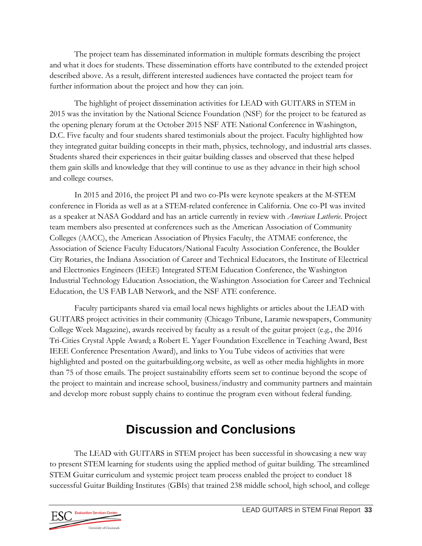The project team has disseminated information in multiple formats describing the project and what it does for students. These dissemination efforts have contributed to the extended project described above. As a result, different interested audiences have contacted the project team for further information about the project and how they can join.

The highlight of project dissemination activities for LEAD with GUITARS in STEM in 2015 was the invitation by the National Science Foundation (NSF) for the project to be featured as the opening plenary forum at the October 2015 NSF ATE National Conference in Washington, D.C. Five faculty and four students shared testimonials about the project. Faculty highlighted how they integrated guitar building concepts in their math, physics, technology, and industrial arts classes. Students shared their experiences in their guitar building classes and observed that these helped them gain skills and knowledge that they will continue to use as they advance in their high school and college courses.

In 2015 and 2016, the project PI and two co-PIs were keynote speakers at the M-STEM conference in Florida as well as at a STEM-related conference in California. One co-PI was invited as a speaker at NASA Goddard and has an article currently in review with *American Lutherie*. Project team members also presented at conferences such as the American Association of Community Colleges (AACC), the American Association of Physics Faculty, the ATMAE conference, the Association of Science Faculty Educators/National Faculty Association Conference, the Boulder City Rotaries, the Indiana Association of Career and Technical Educators, the Institute of Electrical and Electronics Engineers (IEEE) Integrated STEM Education Conference, the Washington Industrial Technology Education Association, the Washington Association for Career and Technical Education, the US FAB LAB Network, and the NSF ATE conference.

Faculty participants shared via email local news highlights or articles about the LEAD with GUITARS project activities in their community (Chicago Tribune, Laramie newspapers, Community College Week Magazine), awards received by faculty as a result of the guitar project (e.g., the 2016 Tri-Cities Crystal Apple Award; a Robert E. Yager Foundation Excellence in Teaching Award, Best IEEE Conference Presentation Award), and links to You Tube videos of activities that were highlighted and posted on the guitarbuilding.org website, as well as other media highlights in more than 75 of those emails. The project sustainability efforts seem set to continue beyond the scope of the project to maintain and increase school, business/industry and community partners and maintain and develop more robust supply chains to continue the program even without federal funding.

## **Discussion and Conclusions**

The LEAD with GUITARS in STEM project has been successful in showcasing a new way to present STEM learning for students using the applied method of guitar building. The streamlined STEM Guitar curriculum and systemic project team process enabled the project to conduct 18 successful Guitar Building Institutes (GBIs) that trained 238 middle school, high school, and college

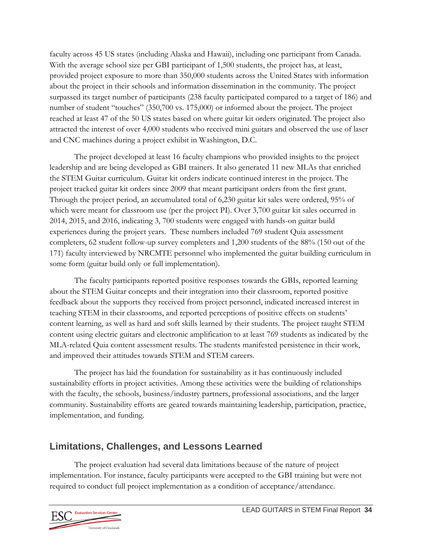faculty across 45 US states (including Alaska and Hawaii), including one participant from Canada. With the average school size per GBI participant of 1,500 students, the project has, at least, provided project exposure to more than 350,000 students across the United States with information about the project in their schools and information dissemination in the community. The project surpassed its target number of participants (238 faculty participated compared to a target of 186) and number of student "touches" (350,700 vs. 175,000) or informed about the project. The project reached at least 47 of the 50 US states based on where guitar kit orders originated. The project also attracted the interest of over 4,000 students who received mini guitars and observed the use of laser and CNC machines during a project exhibit in Washington, D.C.

The project developed at least 16 faculty champions who provided insights to the project leadership and are being developed as GBI trainers. It also generated 11 new MLAs that enriched the STEM Guitar curriculum. Guitar kit orders indicate continued interest in the project. The project tracked guitar kit orders since 2009 that meant participant orders from the first grant. Through the project period, an accumulated total of 6,230 guitar kit sales were ordered, 95% of which were meant for classroom use (per the project PI). Over 3,700 guitar kit sales occurred in 2014, 2015, and 2016, indicating 3, 700 students were engaged with hands-on guitar build experiences during the project years. These numbers included 769 student Quia assessment completers, 62 student follow-up survey completers and 1,200 students of the 88% (150 out of the 171) faculty interviewed by NRCMTE personnel who implemented the guitar building curriculum in some form (guitar build only or full implementation).

The faculty participants reported positive responses towards the GBIs, reported learning about the STEM Guitar concepts and their integration into their classroom, reported positive feedback about the supports they received from project personnel, indicated increased interest in teaching STEM in their classrooms, and reported perceptions of positive effects on students' content learning, as well as hard and soft skills learned by their students. The project taught STEM content using electric guitars and electronic amplification to at least 769 students as indicated by the MLA-related Quia content assessment results. The students manifested persistence in their work, and improved their attitudes towards STEM and STEM careers.

The project has laid the foundation for sustainability as it has continuously included sustainability efforts in project activities. Among these activities were the building of relationships with the faculty, the schools, business/industry partners, professional associations, and the larger community. Sustainability efforts are geared towards maintaining leadership, participation, practice, implementation, and funding.

### **Limitations, Challenges, and Lessons Learned**

The project evaluation had several data limitations because of the nature of project implementation. For instance, faculty participants were accepted to the GBI training but were not required to conduct full project implementation as a condition of acceptance/attendance.

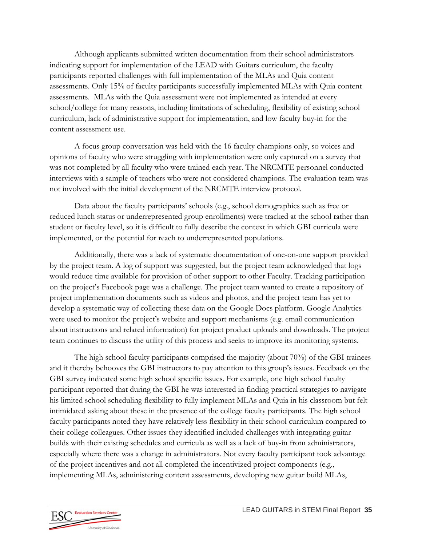Although applicants submitted written documentation from their school administrators indicating support for implementation of the LEAD with Guitars curriculum, the faculty participants reported challenges with full implementation of the MLAs and Quia content assessments. Only 15% of faculty participants successfully implemented MLAs with Quia content assessments. MLAs with the Quia assessment were not implemented as intended at every school/college for many reasons, including limitations of scheduling, flexibility of existing school curriculum, lack of administrative support for implementation, and low faculty buy-in for the content assessment use.

A focus group conversation was held with the 16 faculty champions only, so voices and opinions of faculty who were struggling with implementation were only captured on a survey that was not completed by all faculty who were trained each year. The NRCMTE personnel conducted interviews with a sample of teachers who were not considered champions. The evaluation team was not involved with the initial development of the NRCMTE interview protocol.

Data about the faculty participants' schools (e.g., school demographics such as free or reduced lunch status or underrepresented group enrollments) were tracked at the school rather than student or faculty level, so it is difficult to fully describe the context in which GBI curricula were implemented, or the potential for reach to underrepresented populations.

Additionally, there was a lack of systematic documentation of one-on-one support provided by the project team. A log of support was suggested, but the project team acknowledged that logs would reduce time available for provision of other support to other Faculty. Tracking participation on the project's Facebook page was a challenge. The project team wanted to create a repository of project implementation documents such as videos and photos, and the project team has yet to develop a systematic way of collecting these data on the Google Docs platform. Google Analytics were used to monitor the project's website and support mechanisms (e.g. email communication about instructions and related information) for project product uploads and downloads. The project team continues to discuss the utility of this process and seeks to improve its monitoring systems.

The high school faculty participants comprised the majority (about 70%) of the GBI trainees and it thereby behooves the GBI instructors to pay attention to this group's issues. Feedback on the GBI survey indicated some high school specific issues. For example, one high school faculty participant reported that during the GBI he was interested in finding practical strategies to navigate his limited school scheduling flexibility to fully implement MLAs and Quia in his classroom but felt intimidated asking about these in the presence of the college faculty participants. The high school faculty participants noted they have relatively less flexibility in their school curriculum compared to their college colleagues. Other issues they identified included challenges with integrating guitar builds with their existing schedules and curricula as well as a lack of buy-in from administrators, especially where there was a change in administrators. Not every faculty participant took advantage of the project incentives and not all completed the incentivized project components (e.g., implementing MLAs, administering content assessments, developing new guitar build MLAs,

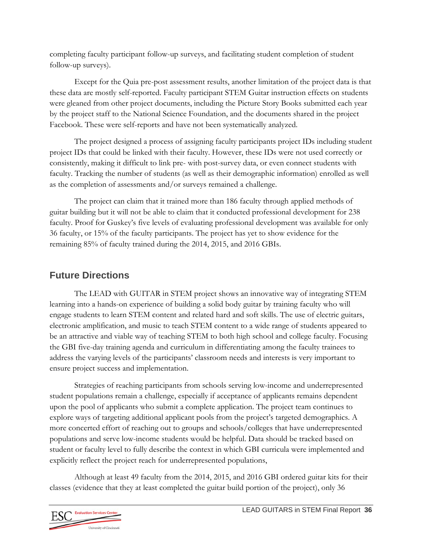completing faculty participant follow-up surveys, and facilitating student completion of student follow-up surveys).

Except for the Quia pre-post assessment results, another limitation of the project data is that these data are mostly self-reported. Faculty participant STEM Guitar instruction effects on students were gleaned from other project documents, including the Picture Story Books submitted each year by the project staff to the National Science Foundation, and the documents shared in the project Facebook. These were self-reports and have not been systematically analyzed.

The project designed a process of assigning faculty participants project IDs including student project IDs that could be linked with their faculty. However, these IDs were not used correctly or consistently, making it difficult to link pre- with post-survey data, or even connect students with faculty. Tracking the number of students (as well as their demographic information) enrolled as well as the completion of assessments and/or surveys remained a challenge.

The project can claim that it trained more than 186 faculty through applied methods of guitar building but it will not be able to claim that it conducted professional development for 238 faculty. Proof for Guskey's five levels of evaluating professional development was available for only 36 faculty, or 15% of the faculty participants. The project has yet to show evidence for the remaining 85% of faculty trained during the 2014, 2015, and 2016 GBIs.

### **Future Directions**

The LEAD with GUITAR in STEM project shows an innovative way of integrating STEM learning into a hands-on experience of building a solid body guitar by training faculty who will engage students to learn STEM content and related hard and soft skills. The use of electric guitars, electronic amplification, and music to teach STEM content to a wide range of students appeared to be an attractive and viable way of teaching STEM to both high school and college faculty. Focusing the GBI five-day training agenda and curriculum in differentiating among the faculty trainees to address the varying levels of the participants' classroom needs and interests is very important to ensure project success and implementation.

Strategies of reaching participants from schools serving low-income and underrepresented student populations remain a challenge, especially if acceptance of applicants remains dependent upon the pool of applicants who submit a complete application. The project team continues to explore ways of targeting additional applicant pools from the project's targeted demographics. A more concerted effort of reaching out to groups and schools/colleges that have underrepresented populations and serve low-income students would be helpful. Data should be tracked based on student or faculty level to fully describe the context in which GBI curricula were implemented and explicitly reflect the project reach for underrepresented populations,

Although at least 49 faculty from the 2014, 2015, and 2016 GBI ordered guitar kits for their classes (evidence that they at least completed the guitar build portion of the project), only 36

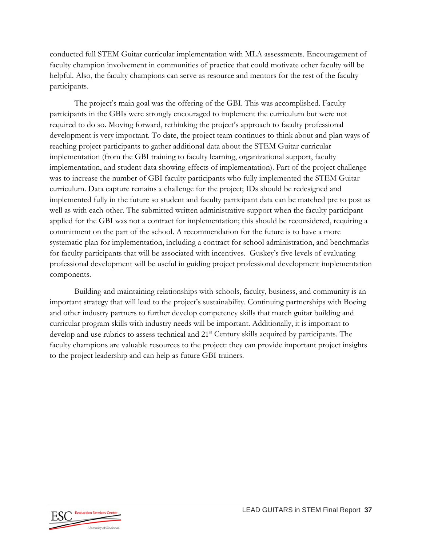conducted full STEM Guitar curricular implementation with MLA assessments. Encouragement of faculty champion involvement in communities of practice that could motivate other faculty will be helpful. Also, the faculty champions can serve as resource and mentors for the rest of the faculty participants.

The project's main goal was the offering of the GBI. This was accomplished. Faculty participants in the GBIs were strongly encouraged to implement the curriculum but were not required to do so. Moving forward, rethinking the project's approach to faculty professional development is very important. To date, the project team continues to think about and plan ways of reaching project participants to gather additional data about the STEM Guitar curricular implementation (from the GBI training to faculty learning, organizational support, faculty implementation, and student data showing effects of implementation). Part of the project challenge was to increase the number of GBI faculty participants who fully implemented the STEM Guitar curriculum. Data capture remains a challenge for the project; IDs should be redesigned and implemented fully in the future so student and faculty participant data can be matched pre to post as well as with each other. The submitted written administrative support when the faculty participant applied for the GBI was not a contract for implementation; this should be reconsidered, requiring a commitment on the part of the school. A recommendation for the future is to have a more systematic plan for implementation, including a contract for school administration, and benchmarks for faculty participants that will be associated with incentives. Guskey's five levels of evaluating professional development will be useful in guiding project professional development implementation components.

Building and maintaining relationships with schools, faculty, business, and community is an important strategy that will lead to the project's sustainability. Continuing partnerships with Boeing and other industry partners to further develop competency skills that match guitar building and curricular program skills with industry needs will be important. Additionally, it is important to develop and use rubrics to assess technical and 21<sup>st</sup> Century skills acquired by participants. The faculty champions are valuable resources to the project: they can provide important project insights to the project leadership and can help as future GBI trainers.